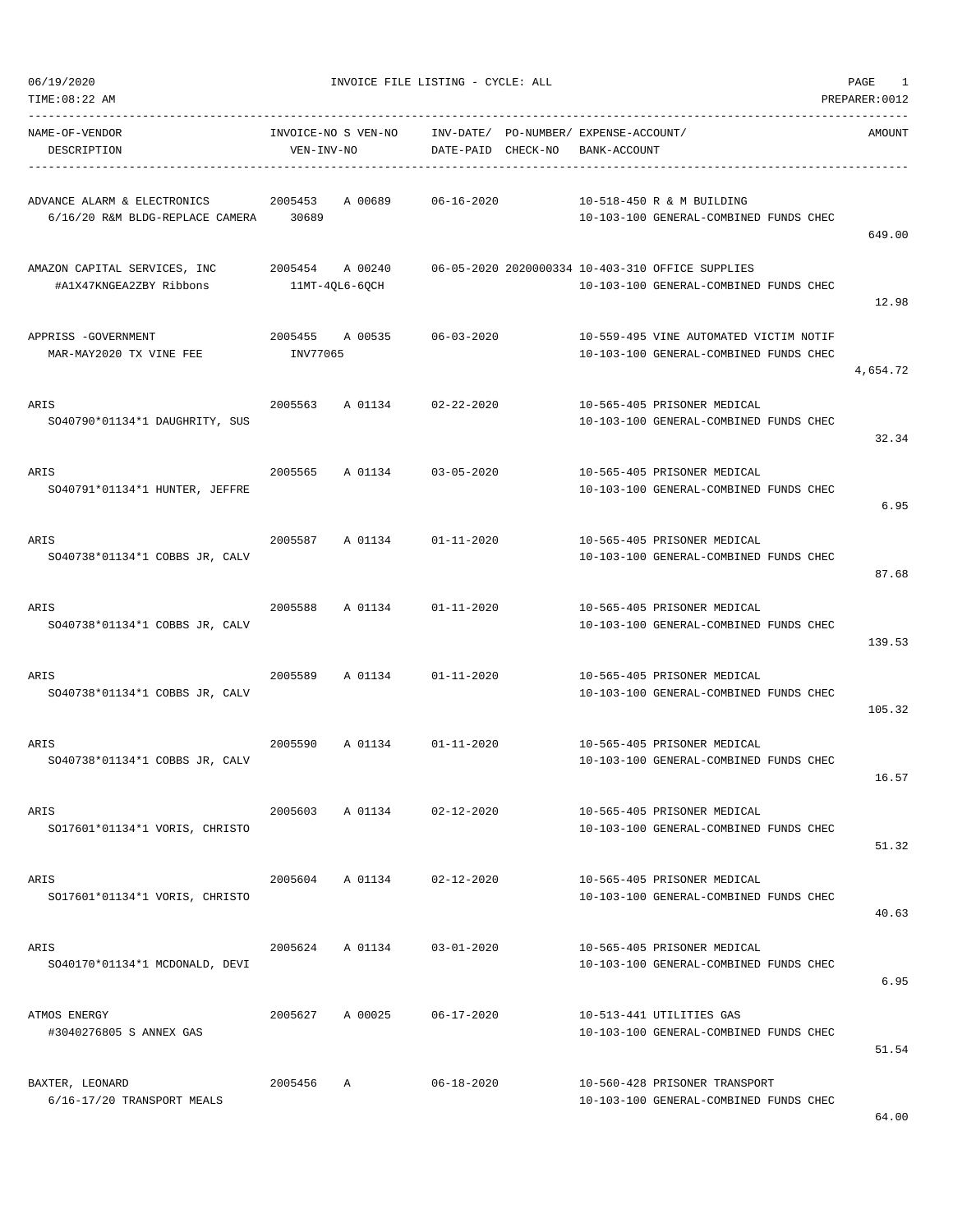|  | 06/19/2020 |  |
|--|------------|--|
|  |            |  |

TIME:08:22 AM PREPARER:0012

| NAME-OF-VENDOR<br>DESCRIPTION                                                | INVOICE-NO S VEN-NO<br>VEN-INV-NO |                 |                            | INV-DATE/ PO-NUMBER/ EXPENSE-ACCOUNT/<br>DATE-PAID CHECK-NO BANK-ACCOUNT                   | AMOUNT   |
|------------------------------------------------------------------------------|-----------------------------------|-----------------|----------------------------|--------------------------------------------------------------------------------------------|----------|
| ADVANCE ALARM & ELECTRONICS 2005453<br>6/16/20 R&M BLDG-REPLACE CAMERA 30689 |                                   | A 00689         | $06 - 16 - 2020$           | 10-518-450 R & M BUILDING<br>10-103-100 GENERAL-COMBINED FUNDS CHEC                        | 649.00   |
| AMAZON CAPITAL SERVICES, INC<br>#A1X47KNGEA2ZBY Ribbons                      | 2005454 A 00240<br>11MT-4QL6-6QCH |                 |                            | 06-05-2020 2020000334 10-403-310 OFFICE SUPPLIES<br>10-103-100 GENERAL-COMBINED FUNDS CHEC | 12.98    |
| APPRISS -GOVERNMENT<br>MAR-MAY2020 TX VINE FEE                               | INV77065                          |                 | 2005455 A 00535 06-03-2020 | 10-559-495 VINE AUTOMATED VICTIM NOTIF<br>10-103-100 GENERAL-COMBINED FUNDS CHEC           | 4,654.72 |
| ARIS<br>SO40790*01134*1 DAUGHRITY, SUS                                       |                                   |                 | 2005563 A 01134 02-22-2020 | 10-565-405 PRISONER MEDICAL<br>10-103-100 GENERAL-COMBINED FUNDS CHEC                      | 32.34    |
| ARIS<br>SO40791*01134*1 HUNTER, JEFFRE                                       |                                   |                 | 2005565 A 01134 03-05-2020 | 10-565-405 PRISONER MEDICAL<br>10-103-100 GENERAL-COMBINED FUNDS CHEC                      | 6.95     |
| ARIS<br>SO40738*01134*1 COBBS JR, CALV                                       | 2005587                           |                 | A 01134 01-11-2020         | 10-565-405 PRISONER MEDICAL<br>10-103-100 GENERAL-COMBINED FUNDS CHEC                      | 87.68    |
| ARIS<br>SO40738*01134*1 COBBS JR, CALV                                       |                                   | 2005588 A 01134 | $01 - 11 - 2020$           | 10-565-405 PRISONER MEDICAL<br>10-103-100 GENERAL-COMBINED FUNDS CHEC                      | 139.53   |
| ARIS<br>SO40738*01134*1 COBBS JR, CALV                                       |                                   |                 | 2005589 A 01134 01-11-2020 | 10-565-405 PRISONER MEDICAL<br>10-103-100 GENERAL-COMBINED FUNDS CHEC                      | 105.32   |
| ARIS<br>SO40738*01134*1 COBBS JR, CALV                                       | 2005590                           |                 | A 01134 01-11-2020         | 10-565-405 PRISONER MEDICAL<br>10-103-100 GENERAL-COMBINED FUNDS CHEC                      | 16.57    |
| ARIS<br>SO17601*01134*1 VORIS, CHRISTO                                       | 2005603                           | A 01134         | $02 - 12 - 2020$           | 10-565-405 PRISONER MEDICAL<br>10-103-100 GENERAL-COMBINED FUNDS CHEC                      | 51.32    |
| ARIS<br>SO17601*01134*1 VORIS, CHRISTO                                       | 2005604                           | A 01134         | $02 - 12 - 2020$           | 10-565-405 PRISONER MEDICAL<br>10-103-100 GENERAL-COMBINED FUNDS CHEC                      | 40.63    |
| ARIS<br>SO40170*01134*1 MCDONALD, DEVI                                       | 2005624                           | A 01134         | $03 - 01 - 2020$           | 10-565-405 PRISONER MEDICAL<br>10-103-100 GENERAL-COMBINED FUNDS CHEC                      | 6.95     |
| ATMOS ENERGY<br>#3040276805 S ANNEX GAS                                      | 2005627                           | A 00025         | $06 - 17 - 2020$           | 10-513-441 UTILITIES GAS<br>10-103-100 GENERAL-COMBINED FUNDS CHEC                         | 51.54    |
| BAXTER, LEONARD<br>6/16-17/20 TRANSPORT MEALS                                | 2005456                           | A               | $06 - 18 - 2020$           | 10-560-428 PRISONER TRANSPORT<br>10-103-100 GENERAL-COMBINED FUNDS CHEC                    |          |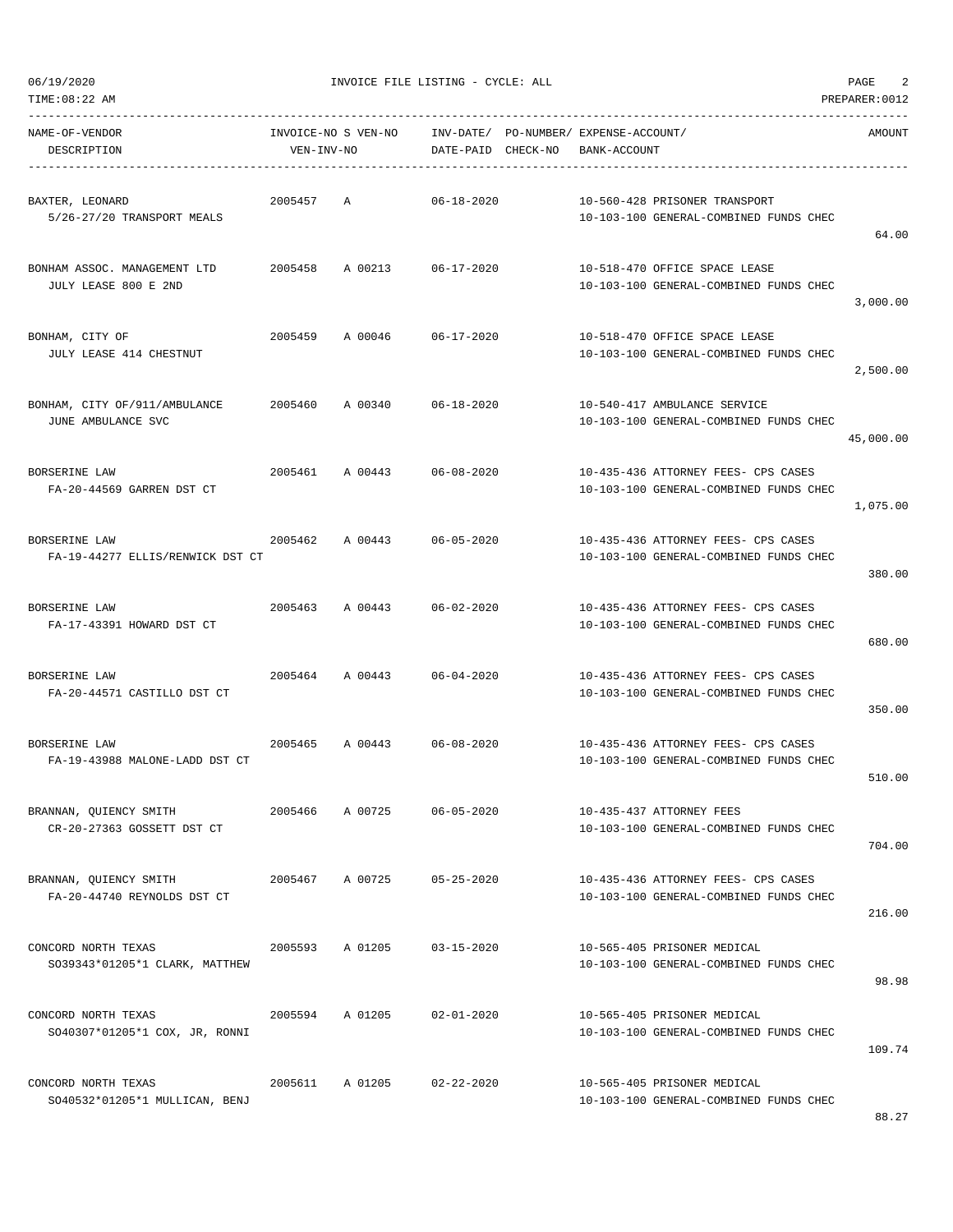| NAME-OF-VENDOR<br>DESCRIPTION                         | VEN-INV-NO | INVOICE-NO S VEN-NO        | INV-DATE/ PO-NUMBER/ EXPENSE-ACCOUNT/<br>DATE-PAID CHECK-NO | BANK-ACCOUNT |                                                                               | AMOUNT    |
|-------------------------------------------------------|------------|----------------------------|-------------------------------------------------------------|--------------|-------------------------------------------------------------------------------|-----------|
| BAXTER, LEONARD<br>5/26-27/20 TRANSPORT MEALS         | 2005457    | A                          | $06 - 18 - 2020$                                            |              | 10-560-428 PRISONER TRANSPORT<br>10-103-100 GENERAL-COMBINED FUNDS CHEC       | 64.00     |
| BONHAM ASSOC. MANAGEMENT LTD<br>JULY LEASE 800 E 2ND  |            | 2005458 A 00213 06-17-2020 |                                                             |              | 10-518-470 OFFICE SPACE LEASE<br>10-103-100 GENERAL-COMBINED FUNDS CHEC       | 3,000.00  |
| BONHAM, CITY OF<br>JULY LEASE 414 CHESTNUT            | 2005459    | A 00046 06-17-2020         |                                                             |              | 10-518-470 OFFICE SPACE LEASE<br>10-103-100 GENERAL-COMBINED FUNDS CHEC       | 2,500.00  |
| BONHAM, CITY OF/911/AMBULANCE<br>JUNE AMBULANCE SVC   |            | 2005460 A 00340            | 06-18-2020                                                  |              | 10-540-417 AMBULANCE SERVICE<br>10-103-100 GENERAL-COMBINED FUNDS CHEC        | 45,000.00 |
| BORSERINE LAW<br>FA-20-44569 GARREN DST CT            |            | 2005461 A 00443 06-08-2020 |                                                             |              | 10-435-436 ATTORNEY FEES- CPS CASES<br>10-103-100 GENERAL-COMBINED FUNDS CHEC | 1,075.00  |
| BORSERINE LAW<br>FA-19-44277 ELLIS/RENWICK DST CT     |            | 2005462 A 00443 06-05-2020 |                                                             |              | 10-435-436 ATTORNEY FEES- CPS CASES<br>10-103-100 GENERAL-COMBINED FUNDS CHEC | 380.00    |
| BORSERINE LAW<br>FA-17-43391 HOWARD DST CT            |            | 2005463 A 00443 06-02-2020 |                                                             |              | 10-435-436 ATTORNEY FEES- CPS CASES<br>10-103-100 GENERAL-COMBINED FUNDS CHEC | 680.00    |
| BORSERINE LAW<br>FA-20-44571 CASTILLO DST CT          |            | 2005464 A 00443            | 06-04-2020                                                  |              | 10-435-436 ATTORNEY FEES- CPS CASES<br>10-103-100 GENERAL-COMBINED FUNDS CHEC | 350.00    |
| BORSERINE LAW<br>FA-19-43988 MALONE-LADD DST CT       |            | 2005465 A 00443 06-08-2020 |                                                             |              | 10-435-436 ATTORNEY FEES- CPS CASES<br>10-103-100 GENERAL-COMBINED FUNDS CHEC | 510.00    |
| BRANNAN, QUIENCY SMITH<br>CR-20-27363 GOSSETT DST CT  | 2005466    | A 00725                    | $06 - 05 - 2020$                                            |              | 10-435-437 ATTORNEY FEES<br>10-103-100 GENERAL-COMBINED FUNDS CHEC            | 704.00    |
| BRANNAN, QUIENCY SMITH<br>FA-20-44740 REYNOLDS DST CT | 2005467    | A 00725                    | $05 - 25 - 2020$                                            |              | 10-435-436 ATTORNEY FEES- CPS CASES<br>10-103-100 GENERAL-COMBINED FUNDS CHEC | 216.00    |
| CONCORD NORTH TEXAS<br>SO39343*01205*1 CLARK, MATTHEW | 2005593    | A 01205                    | $03 - 15 - 2020$                                            |              | 10-565-405 PRISONER MEDICAL<br>10-103-100 GENERAL-COMBINED FUNDS CHEC         | 98.98     |
| CONCORD NORTH TEXAS<br>SO40307*01205*1 COX, JR, RONNI | 2005594    | A 01205                    | $02 - 01 - 2020$                                            |              | 10-565-405 PRISONER MEDICAL<br>10-103-100 GENERAL-COMBINED FUNDS CHEC         | 109.74    |
| CONCORD NORTH TEXAS<br>SO40532*01205*1 MULLICAN, BENJ | 2005611    | A 01205                    | $02 - 22 - 2020$                                            |              | 10-565-405 PRISONER MEDICAL<br>10-103-100 GENERAL-COMBINED FUNDS CHEC         |           |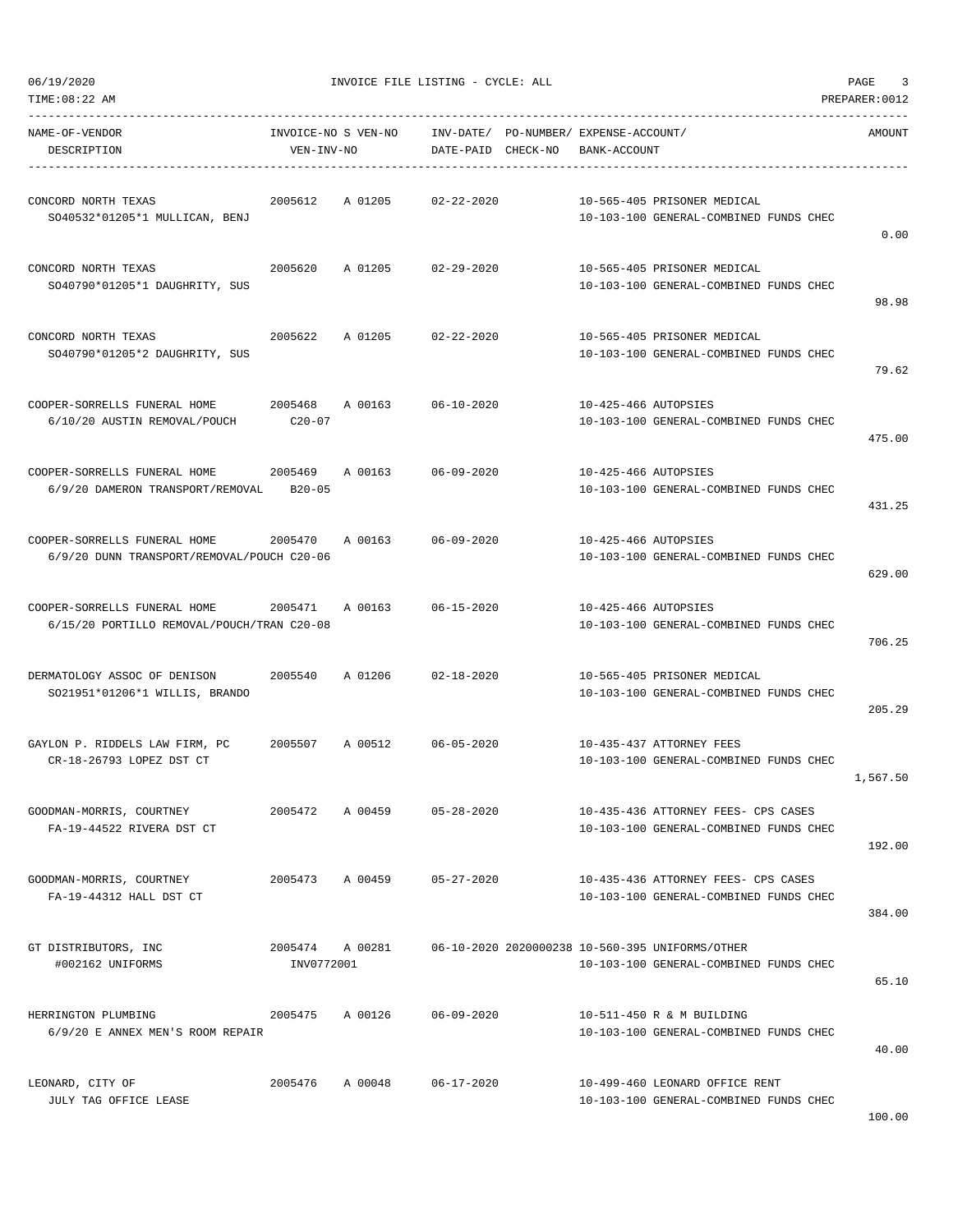| NAME-OF-VENDOR<br>DESCRIPTION                                              | INVOICE-NO S VEN-NO<br>VEN-INV-NO |         | DATE-PAID CHECK-NO | INV-DATE/ PO-NUMBER/ EXPENSE-ACCOUNT/<br>BANK-ACCOUNT |                                                                                           | AMOUNT   |
|----------------------------------------------------------------------------|-----------------------------------|---------|--------------------|-------------------------------------------------------|-------------------------------------------------------------------------------------------|----------|
| CONCORD NORTH TEXAS<br>SO40532*01205*1 MULLICAN, BENJ                      | 2005612                           | A 01205 | $02 - 22 - 2020$   |                                                       | 10-565-405 PRISONER MEDICAL<br>10-103-100 GENERAL-COMBINED FUNDS CHEC                     | 0.00     |
| CONCORD NORTH TEXAS<br>SO40790*01205*1 DAUGHRITY, SUS                      | 2005620                           | A 01205 | $02 - 29 - 2020$   |                                                       | 10-565-405 PRISONER MEDICAL<br>10-103-100 GENERAL-COMBINED FUNDS CHEC                     | 98.98    |
| CONCORD NORTH TEXAS<br>SO40790*01205*2 DAUGHRITY, SUS                      | 2005622                           | A 01205 | $02 - 22 - 2020$   |                                                       | 10-565-405 PRISONER MEDICAL<br>10-103-100 GENERAL-COMBINED FUNDS CHEC                     | 79.62    |
| COOPER-SORRELLS FUNERAL HOME<br>6/10/20 AUSTIN REMOVAL/POUCH               | 2005468<br>$C20-07$               | A 00163 | $06 - 10 - 2020$   | 10-425-466 AUTOPSIES                                  | 10-103-100 GENERAL-COMBINED FUNDS CHEC                                                    | 475.00   |
| COOPER-SORRELLS FUNERAL HOME<br>6/9/20 DAMERON TRANSPORT/REMOVAL           | 2005469<br>$B20-05$               | A 00163 | $06 - 09 - 2020$   | 10-425-466 AUTOPSIES                                  | 10-103-100 GENERAL-COMBINED FUNDS CHEC                                                    | 431.25   |
| COOPER-SORRELLS FUNERAL HOME<br>6/9/20 DUNN TRANSPORT/REMOVAL/POUCH C20-06 | 2005470                           | A 00163 | $06 - 09 - 2020$   | 10-425-466 AUTOPSIES                                  | 10-103-100 GENERAL-COMBINED FUNDS CHEC                                                    | 629.00   |
| COOPER-SORRELLS FUNERAL HOME<br>6/15/20 PORTILLO REMOVAL/POUCH/TRAN C20-08 | 2005471                           | A 00163 | $06 - 15 - 2020$   | 10-425-466 AUTOPSIES                                  | 10-103-100 GENERAL-COMBINED FUNDS CHEC                                                    | 706.25   |
| DERMATOLOGY ASSOC OF DENISON<br>SO21951*01206*1 WILLIS, BRANDO             | 2005540                           | A 01206 | $02 - 18 - 2020$   |                                                       | 10-565-405 PRISONER MEDICAL<br>10-103-100 GENERAL-COMBINED FUNDS CHEC                     | 205.29   |
| GAYLON P. RIDDELS LAW FIRM, PC<br>CR-18-26793 LOPEZ DST CT                 | 2005507                           | A 00512 | $06 - 05 - 2020$   |                                                       | 10-435-437 ATTORNEY FEES<br>10-103-100 GENERAL-COMBINED FUNDS CHEC                        | 1,567.50 |
| GOODMAN-MORRIS, COURTNEY<br>FA-19-44522 RIVERA DST CT                      | 2005472                           | A 00459 | $05 - 28 - 2020$   |                                                       | 10-435-436 ATTORNEY FEES- CPS CASES<br>10-103-100 GENERAL-COMBINED FUNDS CHEC             | 192.00   |
| GOODMAN-MORRIS, COURTNEY<br>FA-19-44312 HALL DST CT                        | 2005473                           | A 00459 | $05 - 27 - 2020$   |                                                       | 10-435-436 ATTORNEY FEES- CPS CASES<br>10-103-100 GENERAL-COMBINED FUNDS CHEC             | 384.00   |
| GT DISTRIBUTORS, INC<br>#002162 UNIFORMS                                   | 2005474 A 00281<br>INV0772001     |         |                    |                                                       | 06-10-2020 2020000238 10-560-395 UNIFORMS/OTHER<br>10-103-100 GENERAL-COMBINED FUNDS CHEC | 65.10    |
| HERRINGTON PLUMBING<br>6/9/20 E ANNEX MEN'S ROOM REPAIR                    | 2005475                           | A 00126 | $06 - 09 - 2020$   |                                                       | 10-511-450 R & M BUILDING<br>10-103-100 GENERAL-COMBINED FUNDS CHEC                       | 40.00    |
| LEONARD, CITY OF<br>JULY TAG OFFICE LEASE                                  | 2005476                           | A 00048 | $06 - 17 - 2020$   |                                                       | 10-499-460 LEONARD OFFICE RENT<br>10-103-100 GENERAL-COMBINED FUNDS CHEC                  |          |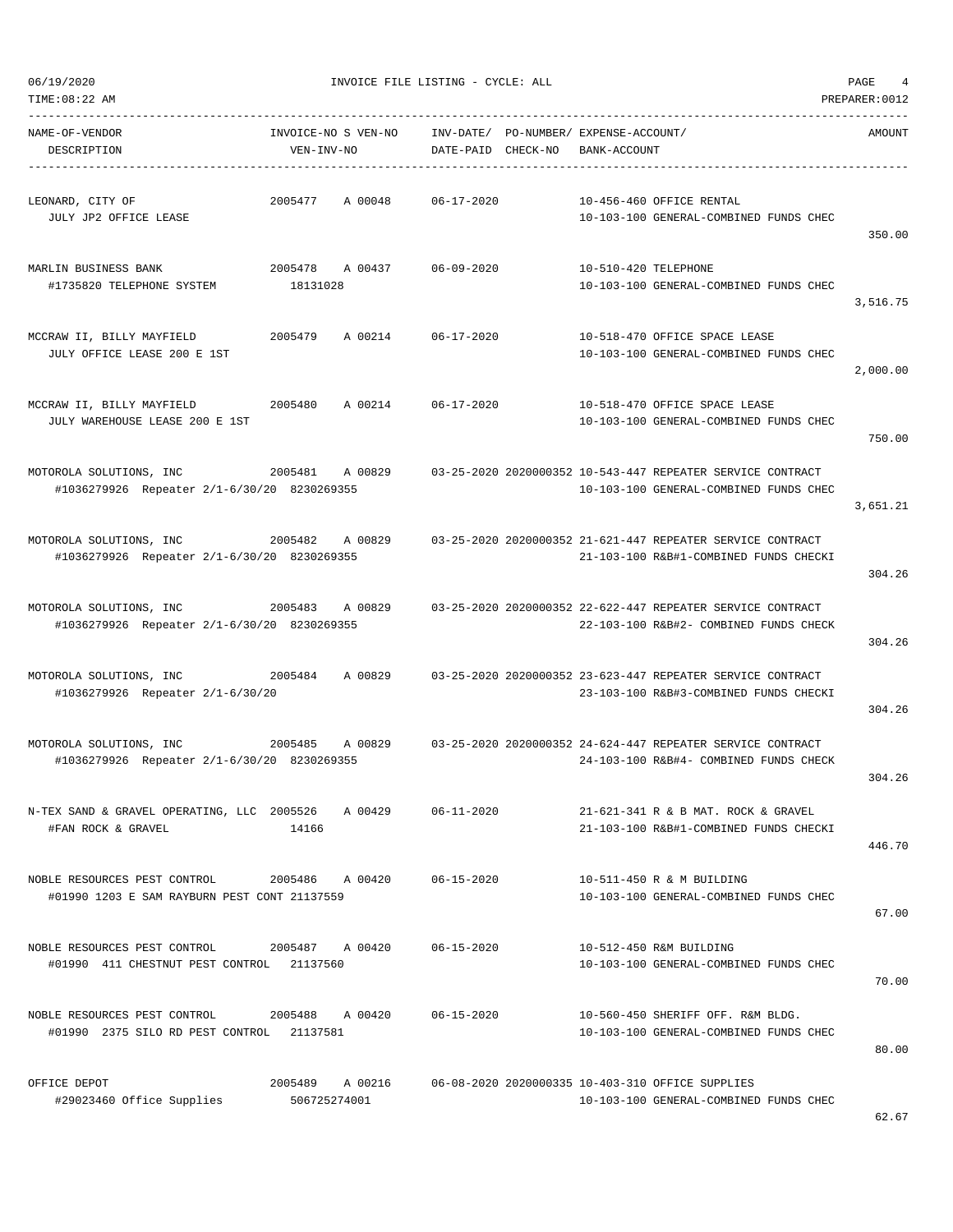| 06/19/2020 | INVOICE FILE LISTING - CYCLE: ALL | PAGE |  |
|------------|-----------------------------------|------|--|
|------------|-----------------------------------|------|--|

TIME:08:22 AM PREPARER:0012

| NAME-OF-VENDOR<br>DESCRIPTION                                                     | INVOICE-NO S VEN-NO<br>VEN-INV-NO  | DATE-PAID CHECK-NO | INV-DATE/ PO-NUMBER/ EXPENSE-ACCOUNT/<br>BANK-ACCOUNT |                                                                                                      | AMOUNT   |
|-----------------------------------------------------------------------------------|------------------------------------|--------------------|-------------------------------------------------------|------------------------------------------------------------------------------------------------------|----------|
| LEONARD, CITY OF<br>JULY JP2 OFFICE LEASE                                         | 2005477<br>A 00048                 | $06 - 17 - 2020$   |                                                       | 10-456-460 OFFICE RENTAL<br>10-103-100 GENERAL-COMBINED FUNDS CHEC                                   | 350.00   |
| MARLIN BUSINESS BANK<br>#1735820 TELEPHONE SYSTEM                                 | 2005478 A 00437<br>18131028        | 06-09-2020         | 10-510-420 TELEPHONE                                  | 10-103-100 GENERAL-COMBINED FUNDS CHEC                                                               | 3,516.75 |
| MCCRAW II, BILLY MAYFIELD<br>JULY OFFICE LEASE 200 E 1ST                          | 2005479<br>A 00214                 | $06 - 17 - 2020$   |                                                       | 10-518-470 OFFICE SPACE LEASE<br>10-103-100 GENERAL-COMBINED FUNDS CHEC                              | 2,000.00 |
| MCCRAW II, BILLY MAYFIELD<br>JULY WAREHOUSE LEASE 200 E 1ST                       | 2005480<br>A 00214                 | $06 - 17 - 2020$   |                                                       | 10-518-470 OFFICE SPACE LEASE<br>10-103-100 GENERAL-COMBINED FUNDS CHEC                              | 750.00   |
| MOTOROLA SOLUTIONS, INC<br>2005481<br>#1036279926 Repeater 2/1-6/30/20 8230269355 | A 00829                            |                    |                                                       | 03-25-2020 2020000352 10-543-447 REPEATER SERVICE CONTRACT<br>10-103-100 GENERAL-COMBINED FUNDS CHEC | 3,651.21 |
| 2005482<br>MOTOROLA SOLUTIONS, INC<br>#1036279926 Repeater 2/1-6/30/20 8230269355 | A 00829                            |                    |                                                       | 03-25-2020 2020000352 21-621-447 REPEATER SERVICE CONTRACT<br>21-103-100 R&B#1-COMBINED FUNDS CHECKI | 304.26   |
| MOTOROLA SOLUTIONS, INC<br>#1036279926 Repeater 2/1-6/30/20 8230269355            | 2005483<br>A 00829                 |                    |                                                       | 03-25-2020 2020000352 22-622-447 REPEATER SERVICE CONTRACT<br>22-103-100 R&B#2- COMBINED FUNDS CHECK | 304.26   |
| MOTOROLA SOLUTIONS, INC<br>#1036279926 Repeater 2/1-6/30/20                       | 2005484<br>A 00829                 |                    |                                                       | 03-25-2020 2020000352 23-623-447 REPEATER SERVICE CONTRACT<br>23-103-100 R&B#3-COMBINED FUNDS CHECKI | 304.26   |
| 2005485<br>MOTOROLA SOLUTIONS, INC<br>#1036279926 Repeater 2/1-6/30/20 8230269355 | A 00829                            |                    |                                                       | 03-25-2020 2020000352 24-624-447 REPEATER SERVICE CONTRACT<br>24-103-100 R&B#4- COMBINED FUNDS CHECK | 304.26   |
| N-TEX SAND & GRAVEL OPERATING, LLC 2005526<br>#FAN ROCK & GRAVEL                  | A 00429<br>14166                   | $06 - 11 - 2020$   |                                                       | 21-621-341 R & B MAT. ROCK & GRAVEL<br>21-103-100 R&B#1-COMBINED FUNDS CHECKI                        | 446.70   |
| NOBLE RESOURCES PEST CONTROL<br>#01990 1203 E SAM RAYBURN PEST CONT 21137559      | 2005486<br>A 00420                 | $06 - 15 - 2020$   |                                                       | 10-511-450 R & M BUILDING<br>10-103-100 GENERAL-COMBINED FUNDS CHEC                                  | 67.00    |
| NOBLE RESOURCES PEST CONTROL<br>#01990 411 CHESTNUT PEST CONTROL 21137560         | 2005487 A 00420                    | $06 - 15 - 2020$   |                                                       | 10-512-450 R&M BUILDING<br>10-103-100 GENERAL-COMBINED FUNDS CHEC                                    | 70.00    |
| NOBLE RESOURCES PEST CONTROL<br>#01990 2375 SILO RD PEST CONTROL 21137581         | 2005488<br>A 00420                 | $06 - 15 - 2020$   |                                                       | 10-560-450 SHERIFF OFF. R&M BLDG.<br>10-103-100 GENERAL-COMBINED FUNDS CHEC                          | 80.00    |
| OFFICE DEPOT<br>#29023460 Office Supplies                                         | 2005489<br>A 00216<br>506725274001 |                    |                                                       | 06-08-2020 2020000335 10-403-310 OFFICE SUPPLIES<br>10-103-100 GENERAL-COMBINED FUNDS CHEC           |          |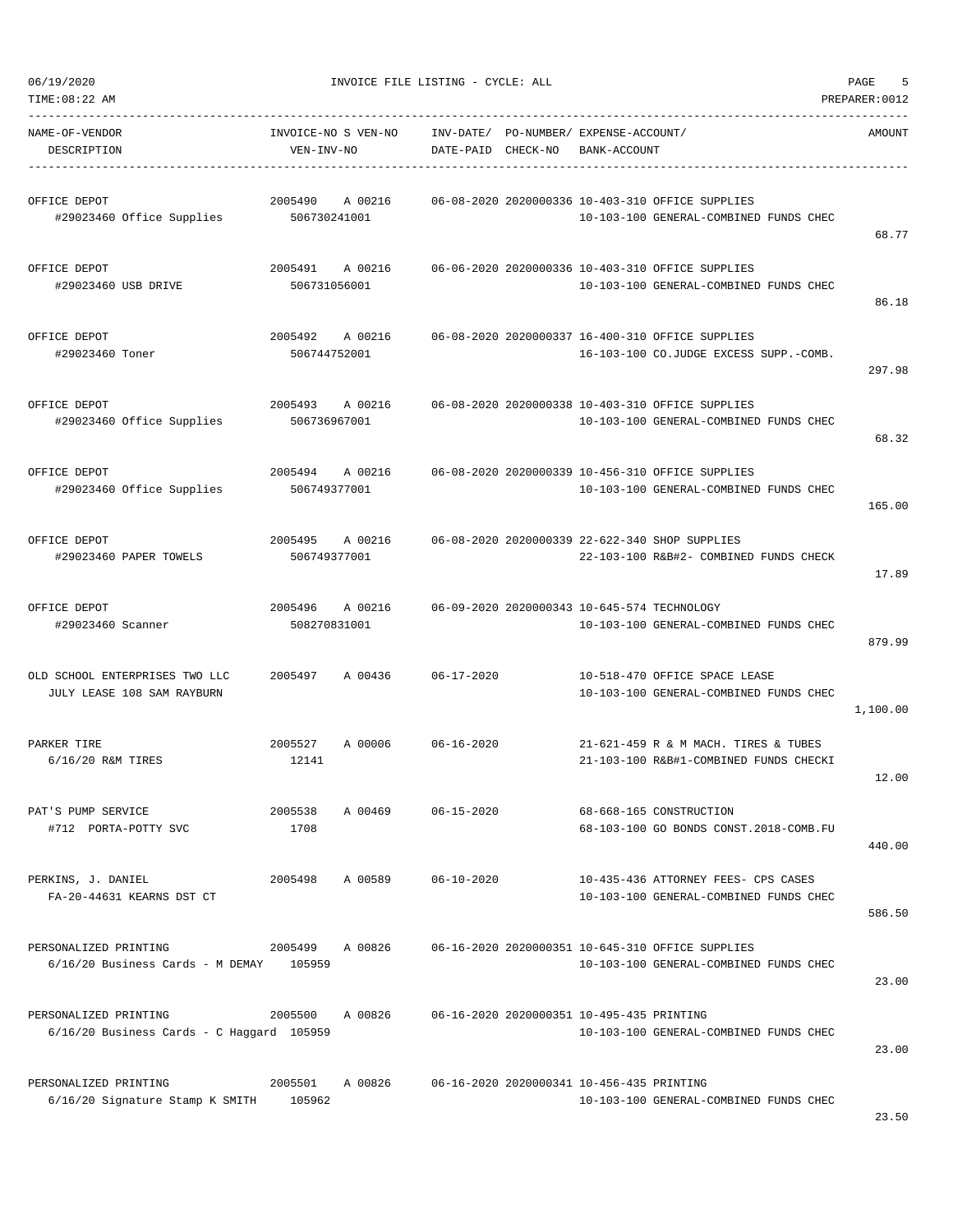| TIME:08:22 AM                                                        |                                   |         |                    |                                                       |                                                                                            | PREPARER: 0012 |
|----------------------------------------------------------------------|-----------------------------------|---------|--------------------|-------------------------------------------------------|--------------------------------------------------------------------------------------------|----------------|
| NAME-OF-VENDOR<br>DESCRIPTION                                        | INVOICE-NO S VEN-NO<br>VEN-INV-NO |         | DATE-PAID CHECK-NO | INV-DATE/ PO-NUMBER/ EXPENSE-ACCOUNT/<br>BANK-ACCOUNT |                                                                                            | AMOUNT         |
| OFFICE DEPOT<br>#29023460 Office Supplies                            | 2005490<br>506730241001           | A 00216 |                    |                                                       | 06-08-2020 2020000336 10-403-310 OFFICE SUPPLIES<br>10-103-100 GENERAL-COMBINED FUNDS CHEC | 68.77          |
| OFFICE DEPOT<br>#29023460 USB DRIVE                                  | 2005491<br>506731056001           | A 00216 |                    |                                                       | 06-06-2020 2020000336 10-403-310 OFFICE SUPPLIES<br>10-103-100 GENERAL-COMBINED FUNDS CHEC | 86.18          |
| OFFICE DEPOT<br>#29023460 Toner                                      | 2005492<br>506744752001           | A 00216 |                    |                                                       | 06-08-2020 2020000337 16-400-310 OFFICE SUPPLIES<br>16-103-100 CO.JUDGE EXCESS SUPP.-COMB. | 297.98         |
| OFFICE DEPOT<br>#29023460 Office Supplies                            | 2005493 A 00216<br>506736967001   |         |                    |                                                       | 06-08-2020 2020000338 10-403-310 OFFICE SUPPLIES<br>10-103-100 GENERAL-COMBINED FUNDS CHEC | 68.32          |
| OFFICE DEPOT<br>#29023460 Office Supplies                            | 2005494<br>506749377001           | A 00216 |                    |                                                       | 06-08-2020 2020000339 10-456-310 OFFICE SUPPLIES<br>10-103-100 GENERAL-COMBINED FUNDS CHEC | 165.00         |
| OFFICE DEPOT<br>#29023460 PAPER TOWELS                               | 2005495<br>506749377001           | A 00216 |                    |                                                       | 06-08-2020 2020000339 22-622-340 SHOP SUPPLIES<br>22-103-100 R&B#2- COMBINED FUNDS CHECK   | 17.89          |
| OFFICE DEPOT<br>#29023460 Scanner                                    | 2005496 A 00216<br>508270831001   |         |                    |                                                       | 06-09-2020 2020000343 10-645-574 TECHNOLOGY<br>10-103-100 GENERAL-COMBINED FUNDS CHEC      | 879.99         |
| OLD SCHOOL ENTERPRISES TWO LLC<br>JULY LEASE 108 SAM RAYBURN         | 2005497                           | A 00436 | $06 - 17 - 2020$   |                                                       | 10-518-470 OFFICE SPACE LEASE<br>10-103-100 GENERAL-COMBINED FUNDS CHEC                    | 1,100.00       |
| PARKER TIRE<br>6/16/20 R&M TIRES                                     | 2005527<br>12141                  | A 00006 | $06 - 16 - 2020$   |                                                       | 21-621-459 R & M MACH. TIRES & TUBES<br>21-103-100 R&B#1-COMBINED FUNDS CHECKI             | 12.00          |
| PAT'S PUMP SERVICE<br>#712 PORTA-POTTY SVC                           | 2005538<br>1708                   | A 00469 | $06 - 15 - 2020$   |                                                       | 68-668-165 CONSTRUCTION<br>68-103-100 GO BONDS CONST.2018-COMB.FU                          | 440.00         |
| PERKINS, J. DANIEL<br>FA-20-44631 KEARNS DST CT                      | 2005498                           | A 00589 | $06 - 10 - 2020$   |                                                       | 10-435-436 ATTORNEY FEES- CPS CASES<br>10-103-100 GENERAL-COMBINED FUNDS CHEC              | 586.50         |
| PERSONALIZED PRINTING<br>$6/16/20$ Business Cards - M DEMAY 105959   | 2005499                           | A 00826 |                    |                                                       | 06-16-2020 2020000351 10-645-310 OFFICE SUPPLIES<br>10-103-100 GENERAL-COMBINED FUNDS CHEC | 23.00          |
| PERSONALIZED PRINTING<br>$6/16/20$ Business Cards - C Haggard 105959 | 2005500                           | A 00826 |                    | 06-16-2020 2020000351 10-495-435 PRINTING             | 10-103-100 GENERAL-COMBINED FUNDS CHEC                                                     | 23.00          |
| PERSONALIZED PRINTING<br>6/16/20 Signature Stamp K SMITH             | 2005501<br>105962                 | A 00826 |                    | 06-16-2020 2020000341 10-456-435 PRINTING             | 10-103-100 GENERAL-COMBINED FUNDS CHEC                                                     |                |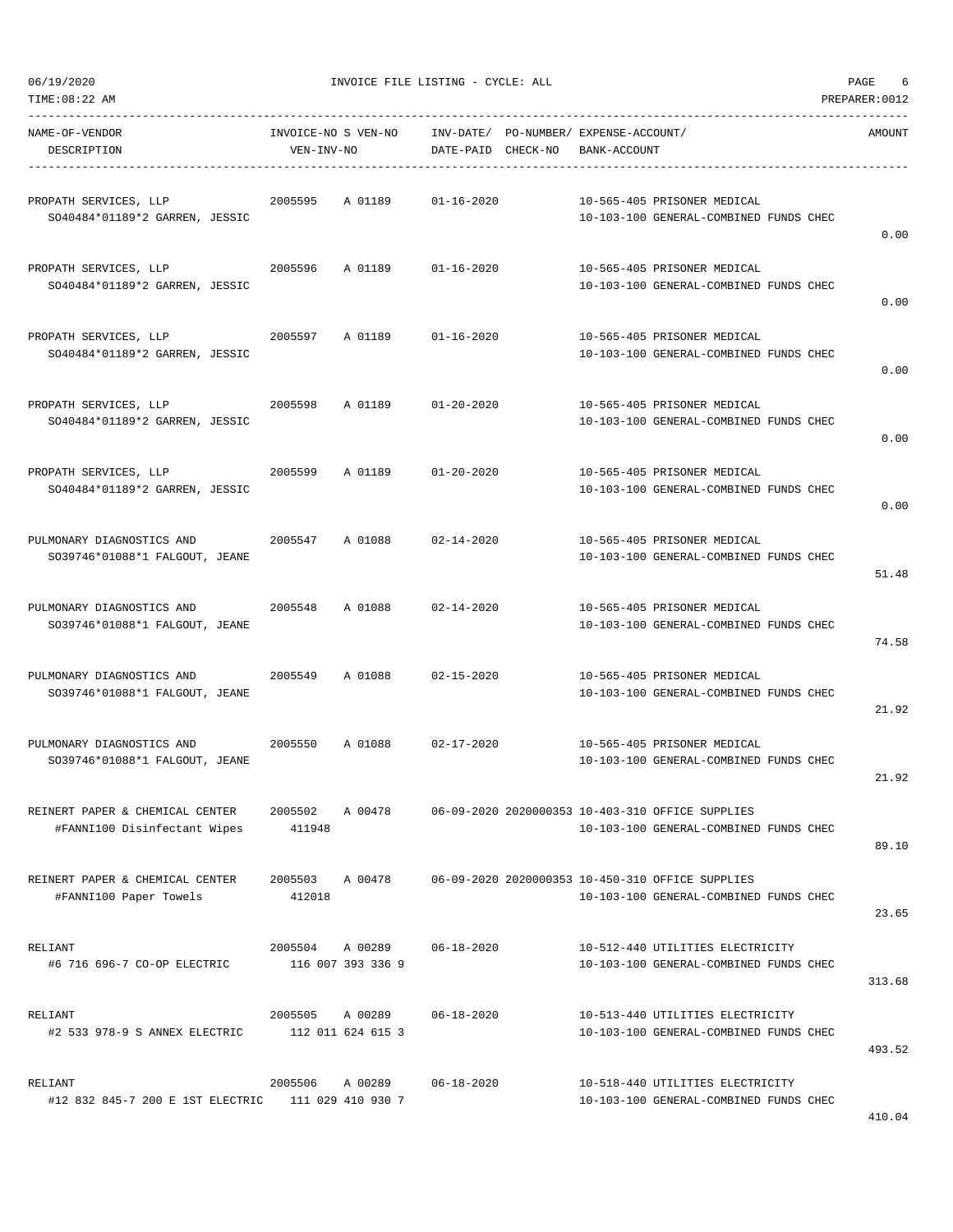| TIME:08:22 AM                                                   |                                   |                              |                    |                                                       |                                                                                            | PREPARER: 0012 |
|-----------------------------------------------------------------|-----------------------------------|------------------------------|--------------------|-------------------------------------------------------|--------------------------------------------------------------------------------------------|----------------|
| NAME-OF-VENDOR<br>DESCRIPTION                                   | INVOICE-NO S VEN-NO<br>VEN-INV-NO |                              | DATE-PAID CHECK-NO | INV-DATE/ PO-NUMBER/ EXPENSE-ACCOUNT/<br>BANK-ACCOUNT |                                                                                            | AMOUNT         |
| PROPATH SERVICES, LLP<br>SO40484*01189*2 GARREN, JESSIC         | 2005595                           | A 01189                      | $01 - 16 - 2020$   |                                                       | 10-565-405 PRISONER MEDICAL<br>10-103-100 GENERAL-COMBINED FUNDS CHEC                      | 0.00           |
| PROPATH SERVICES, LLP<br>SO40484*01189*2 GARREN, JESSIC         | 2005596                           | A 01189                      | $01 - 16 - 2020$   |                                                       | 10-565-405 PRISONER MEDICAL<br>10-103-100 GENERAL-COMBINED FUNDS CHEC                      | 0.00           |
| PROPATH SERVICES, LLP<br>SO40484*01189*2 GARREN, JESSIC         | 2005597                           | A 01189                      | $01 - 16 - 2020$   |                                                       | 10-565-405 PRISONER MEDICAL<br>10-103-100 GENERAL-COMBINED FUNDS CHEC                      | 0.00           |
| PROPATH SERVICES, LLP<br>SO40484*01189*2 GARREN, JESSIC         | 2005598                           | A 01189                      | $01 - 20 - 2020$   |                                                       | 10-565-405 PRISONER MEDICAL<br>10-103-100 GENERAL-COMBINED FUNDS CHEC                      | 0.00           |
| PROPATH SERVICES, LLP<br>SO40484*01189*2 GARREN, JESSIC         | 2005599                           | A 01189                      | $01 - 20 - 2020$   |                                                       | 10-565-405 PRISONER MEDICAL<br>10-103-100 GENERAL-COMBINED FUNDS CHEC                      | 0.00           |
| PULMONARY DIAGNOSTICS AND<br>SO39746*01088*1 FALGOUT, JEANE     | 2005547                           | A 01088                      | $02 - 14 - 2020$   |                                                       | 10-565-405 PRISONER MEDICAL<br>10-103-100 GENERAL-COMBINED FUNDS CHEC                      | 51.48          |
| PULMONARY DIAGNOSTICS AND<br>SO39746*01088*1 FALGOUT, JEANE     | 2005548                           | A 01088                      | $02 - 14 - 2020$   |                                                       | 10-565-405 PRISONER MEDICAL<br>10-103-100 GENERAL-COMBINED FUNDS CHEC                      | 74.58          |
| PULMONARY DIAGNOSTICS AND<br>SO39746*01088*1 FALGOUT, JEANE     | 2005549                           | A 01088                      | $02 - 15 - 2020$   |                                                       | 10-565-405 PRISONER MEDICAL<br>10-103-100 GENERAL-COMBINED FUNDS CHEC                      | 21.92          |
| PULMONARY DIAGNOSTICS AND<br>SO39746*01088*1 FALGOUT, JEANE     | 2005550                           | A 01088                      | $02 - 17 - 2020$   |                                                       | 10-565-405 PRISONER MEDICAL<br>10-103-100 GENERAL-COMBINED FUNDS CHEC                      | 21.92          |
| REINERT PAPER & CHEMICAL CENTER<br>#FANNI100 Disinfectant Wipes | 2005502<br>411948                 | A 00478                      |                    |                                                       | 06-09-2020 2020000353 10-403-310 OFFICE SUPPLIES<br>10-103-100 GENERAL-COMBINED FUNDS CHEC | 89.10          |
| REINERT PAPER & CHEMICAL CENTER<br>#FANNI100 Paper Towels       | 412018                            | 2005503 A 00478              |                    |                                                       | 06-09-2020 2020000353 10-450-310 OFFICE SUPPLIES<br>10-103-100 GENERAL-COMBINED FUNDS CHEC | 23.65          |
| RELIANT<br>#6 716 696-7 CO-OP ELECTRIC                          | 2005504                           | A 00289<br>116 007 393 336 9 | $06 - 18 - 2020$   |                                                       | 10-512-440 UTILITIES ELECTRICITY<br>10-103-100 GENERAL-COMBINED FUNDS CHEC                 | 313.68         |
| RELIANT<br>#2 533 978-9 S ANNEX ELECTRIC                        | 2005505                           | A 00289<br>112 011 624 615 3 | $06 - 18 - 2020$   |                                                       | 10-513-440 UTILITIES ELECTRICITY<br>10-103-100 GENERAL-COMBINED FUNDS CHEC                 | 493.52         |
| RELIANT<br>#12 832 845-7 200 E 1ST ELECTRIC                     | 2005506<br>111 029 410 930 7      | A 00289                      | $06 - 18 - 2020$   |                                                       | 10-518-440 UTILITIES ELECTRICITY<br>10-103-100 GENERAL-COMBINED FUNDS CHEC                 |                |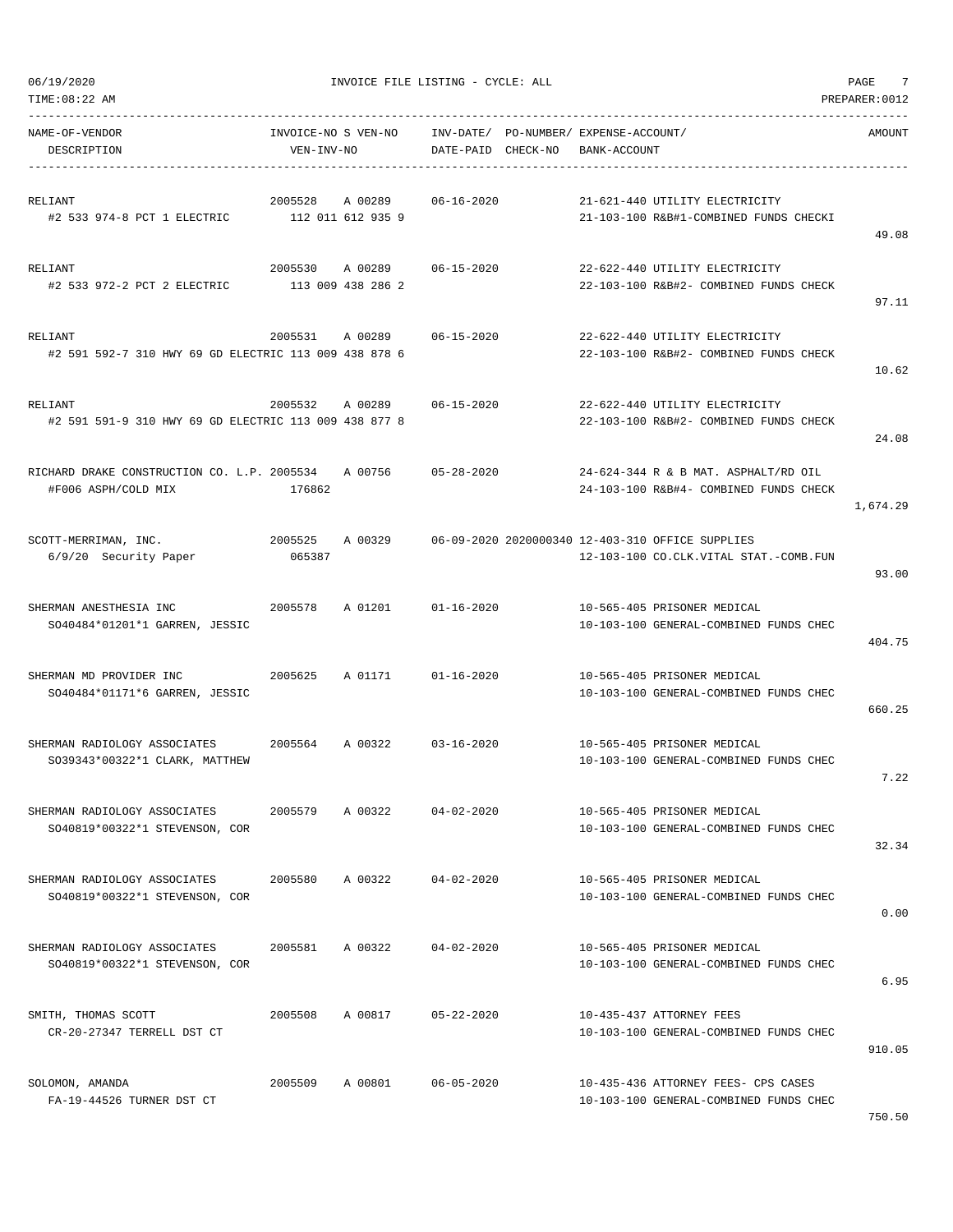TIME:08:22 AM PREPARER:0012

 $06/19/2020$  PAGE  $7$ 

| NAME-OF-VENDOR                                                       | INVOICE-NO S VEN-NO |                            | INV-DATE/ PO-NUMBER/ EXPENSE-ACCOUNT/ |              |                                                                       | AMOUNT   |
|----------------------------------------------------------------------|---------------------|----------------------------|---------------------------------------|--------------|-----------------------------------------------------------------------|----------|
| DESCRIPTION                                                          | VEN-INV-NO          |                            | DATE-PAID CHECK-NO                    | BANK-ACCOUNT |                                                                       |          |
|                                                                      |                     |                            |                                       |              |                                                                       |          |
| RELIANT                                                              | 2005528 A 00289     |                            | 06-16-2020                            |              | 21-621-440 UTILITY ELECTRICITY                                        |          |
| #2 533 974-8 PCT 1 ELECTRIC 112 011 612 935 9                        |                     |                            |                                       |              | 21-103-100 R&B#1-COMBINED FUNDS CHECKI                                |          |
|                                                                      |                     |                            |                                       |              |                                                                       | 49.08    |
| RELIANT                                                              |                     | 2005530 A 00289 06-15-2020 |                                       |              | 22-622-440 UTILITY ELECTRICITY                                        |          |
| #2 533 972-2 PCT 2 ELECTRIC                                          | 113 009 438 286 2   |                            |                                       |              | 22-103-100 R&B#2- COMBINED FUNDS CHECK                                |          |
|                                                                      |                     |                            |                                       |              |                                                                       | 97.11    |
| RELIANT                                                              | 2005531             | A 00289                    | 06-15-2020                            |              | 22-622-440 UTILITY ELECTRICITY                                        |          |
| #2 591 592-7 310 HWY 69 GD ELECTRIC 113 009 438 878 6                |                     |                            |                                       |              | 22-103-100 R&B#2- COMBINED FUNDS CHECK                                |          |
|                                                                      |                     |                            |                                       |              |                                                                       | 10.62    |
|                                                                      |                     |                            |                                       |              |                                                                       |          |
| RELIANT                                                              | 2005532             | A 00289                    | $06 - 15 - 2020$                      |              | 22-622-440 UTILITY ELECTRICITY                                        |          |
| #2 591 591-9 310 HWY 69 GD ELECTRIC 113 009 438 877 8                |                     |                            |                                       |              | 22-103-100 R&B#2- COMBINED FUNDS CHECK                                | 24.08    |
|                                                                      |                     |                            |                                       |              |                                                                       |          |
| RICHARD DRAKE CONSTRUCTION CO. L.P. 2005534 A 00756                  |                     |                            | $05 - 28 - 2020$                      |              | 24-624-344 R & B MAT. ASPHALT/RD OIL                                  |          |
| #F006 ASPH/COLD MIX                                                  | 176862              |                            |                                       |              | 24-103-100 R&B#4- COMBINED FUNDS CHECK                                |          |
|                                                                      |                     |                            |                                       |              |                                                                       | 1,674.29 |
| SCOTT-MERRIMAN, INC.                                                 | 2005525             |                            |                                       |              | A 00329 06-09-2020 2020000340 12-403-310 OFFICE SUPPLIES              |          |
| 6/9/20 Security Paper                                                | 065387              |                            |                                       |              | 12-103-100 CO.CLK.VITAL STAT.-COMB.FUN                                |          |
|                                                                      |                     |                            |                                       |              |                                                                       | 93.00    |
| SHERMAN ANESTHESIA INC                                               | 2005578             | A 01201 01-16-2020         |                                       |              | 10-565-405 PRISONER MEDICAL                                           |          |
| SO40484*01201*1 GARREN, JESSIC                                       |                     |                            |                                       |              | 10-103-100 GENERAL-COMBINED FUNDS CHEC                                |          |
|                                                                      |                     |                            |                                       |              |                                                                       | 404.75   |
|                                                                      |                     |                            |                                       |              |                                                                       |          |
| SHERMAN MD PROVIDER INC<br>2005625<br>SO40484*01171*6 GARREN, JESSIC |                     | A 01171                    | $01 - 16 - 2020$                      |              | 10-565-405 PRISONER MEDICAL<br>10-103-100 GENERAL-COMBINED FUNDS CHEC |          |
|                                                                      |                     |                            |                                       |              |                                                                       | 660.25   |
|                                                                      |                     |                            |                                       |              |                                                                       |          |
| SHERMAN RADIOLOGY ASSOCIATES $2005564$ A 00322 03-16-2020            |                     |                            |                                       |              | 10-565-405 PRISONER MEDICAL                                           |          |
| S039343*00322*1 CLARK, MATTHEW                                       |                     |                            |                                       |              | 10-103-100 GENERAL-COMBINED FUNDS CHEC                                |          |
|                                                                      |                     |                            |                                       |              |                                                                       | 7.22     |
| SHERMAN RADIOLOGY ASSOCIATES                                         | 2005579             | A 00322                    | $04 - 02 - 2020$                      |              | 10-565-405 PRISONER MEDICAL                                           |          |
| SO40819*00322*1 STEVENSON, COR                                       |                     |                            |                                       |              | 10-103-100 GENERAL-COMBINED FUNDS CHEC                                |          |
|                                                                      |                     |                            |                                       |              |                                                                       | 32.34    |
| SHERMAN RADIOLOGY ASSOCIATES                                         | 2005580             | A 00322                    | $04 - 02 - 2020$                      |              | 10-565-405 PRISONER MEDICAL                                           |          |
| SO40819*00322*1 STEVENSON, COR                                       |                     |                            |                                       |              | 10-103-100 GENERAL-COMBINED FUNDS CHEC                                |          |
|                                                                      |                     |                            |                                       |              |                                                                       | 0.00     |
|                                                                      |                     |                            |                                       |              |                                                                       |          |
| SHERMAN RADIOLOGY ASSOCIATES                                         | 2005581             | A 00322                    | $04 - 02 - 2020$                      |              | 10-565-405 PRISONER MEDICAL                                           |          |
| SO40819*00322*1 STEVENSON, COR                                       |                     |                            |                                       |              | 10-103-100 GENERAL-COMBINED FUNDS CHEC                                | 6.95     |
|                                                                      |                     |                            |                                       |              |                                                                       |          |
| SMITH, THOMAS SCOTT                                                  | 2005508             | A 00817                    | $05 - 22 - 2020$                      |              | 10-435-437 ATTORNEY FEES                                              |          |
| CR-20-27347 TERRELL DST CT                                           |                     |                            |                                       |              | 10-103-100 GENERAL-COMBINED FUNDS CHEC                                |          |
|                                                                      |                     |                            |                                       |              |                                                                       | 910.05   |
| SOLOMON, AMANDA                                                      | 2005509             | A 00801                    | $06 - 05 - 2020$                      |              | 10-435-436 ATTORNEY FEES- CPS CASES                                   |          |
| FA-19-44526 TURNER DST CT                                            |                     |                            |                                       |              | 10-103-100 GENERAL-COMBINED FUNDS CHEC                                |          |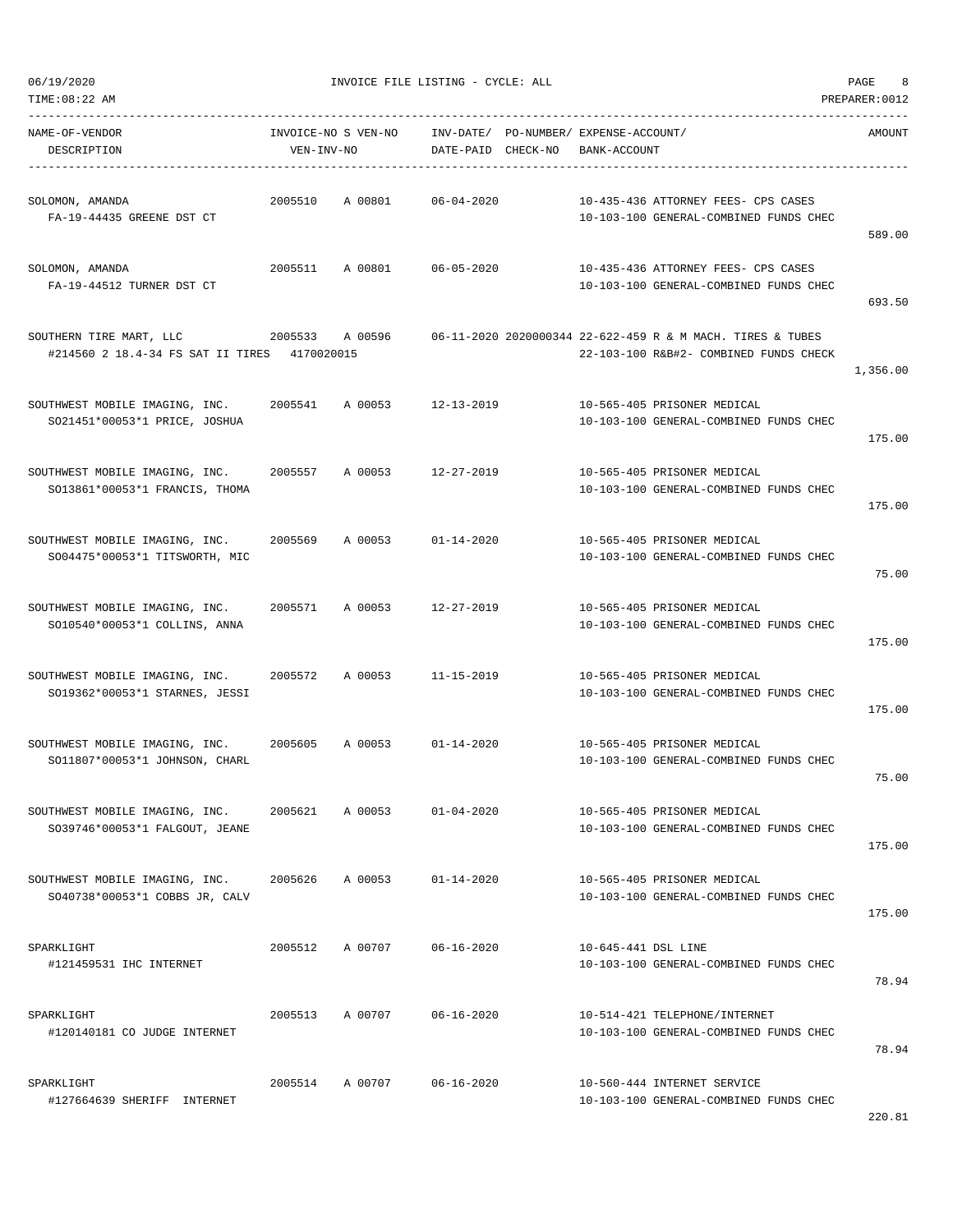TIME:08:22 AM PREPARER:0012

06/19/2020 INVOICE FILE LISTING - CYCLE: ALL PAGE 8

| NAME-OF-VENDOR<br>DESCRIPTION                                            | VEN-INV-NO | INVOICE-NO S VEN-NO | DATE-PAID CHECK-NO | INV-DATE/ PO-NUMBER/ EXPENSE-ACCOUNT/<br>BANK-ACCOUNT |                                                                                                      | AMOUNT   |
|--------------------------------------------------------------------------|------------|---------------------|--------------------|-------------------------------------------------------|------------------------------------------------------------------------------------------------------|----------|
| SOLOMON, AMANDA<br>FA-19-44435 GREENE DST CT                             | 2005510    | A 00801             | $06 - 04 - 2020$   |                                                       | 10-435-436 ATTORNEY FEES- CPS CASES<br>10-103-100 GENERAL-COMBINED FUNDS CHEC                        | 589.00   |
| SOLOMON, AMANDA<br>FA-19-44512 TURNER DST CT                             | 2005511    | A 00801             | $06 - 05 - 2020$   |                                                       | 10-435-436 ATTORNEY FEES- CPS CASES<br>10-103-100 GENERAL-COMBINED FUNDS CHEC                        | 693.50   |
| SOUTHERN TIRE MART, LLC<br>#214560 2 18.4-34 FS SAT II TIRES 4170020015  | 2005533    | A 00596             |                    |                                                       | 06-11-2020 2020000344 22-622-459 R & M MACH. TIRES & TUBES<br>22-103-100 R&B#2- COMBINED FUNDS CHECK | 1,356.00 |
| SOUTHWEST MOBILE IMAGING, INC.<br>SO21451*00053*1 PRICE, JOSHUA          | 2005541    | A 00053             | 12-13-2019         |                                                       | 10-565-405 PRISONER MEDICAL<br>10-103-100 GENERAL-COMBINED FUNDS CHEC                                | 175.00   |
| SOUTHWEST MOBILE IMAGING, INC.<br>SO13861*00053*1 FRANCIS, THOMA         | 2005557    | A 00053             | 12-27-2019         |                                                       | 10-565-405 PRISONER MEDICAL<br>10-103-100 GENERAL-COMBINED FUNDS CHEC                                | 175.00   |
| SOUTHWEST MOBILE IMAGING, INC.<br>SO04475*00053*1 TITSWORTH, MIC         | 2005569    | A 00053             | $01 - 14 - 2020$   |                                                       | 10-565-405 PRISONER MEDICAL<br>10-103-100 GENERAL-COMBINED FUNDS CHEC                                | 75.00    |
| SOUTHWEST MOBILE IMAGING, INC.<br>SO10540*00053*1 COLLINS, ANNA          | 2005571    | A 00053             | 12-27-2019         |                                                       | 10-565-405 PRISONER MEDICAL<br>10-103-100 GENERAL-COMBINED FUNDS CHEC                                | 175.00   |
| SOUTHWEST MOBILE IMAGING, INC.<br>SO19362*00053*1 STARNES, JESSI         | 2005572    | A 00053             | 11-15-2019         |                                                       | 10-565-405 PRISONER MEDICAL<br>10-103-100 GENERAL-COMBINED FUNDS CHEC                                | 175.00   |
| SOUTHWEST MOBILE IMAGING, INC. 2005605<br>SO11807*00053*1 JOHNSON, CHARL |            | A 00053             | $01 - 14 - 2020$   |                                                       | 10-565-405 PRISONER MEDICAL<br>10-103-100 GENERAL-COMBINED FUNDS CHEC                                | 75.00    |
| SOUTHWEST MOBILE IMAGING, INC.<br>SO39746*00053*1 FALGOUT, JEANE         | 2005621    | A 00053             | $01 - 04 - 2020$   |                                                       | 10-565-405 PRISONER MEDICAL<br>10-103-100 GENERAL-COMBINED FUNDS CHEC                                | 175.00   |
| SOUTHWEST MOBILE IMAGING, INC.<br>SO40738*00053*1 COBBS JR, CALV         | 2005626    | A 00053             | $01 - 14 - 2020$   |                                                       | 10-565-405 PRISONER MEDICAL<br>10-103-100 GENERAL-COMBINED FUNDS CHEC                                | 175.00   |
| SPARKLIGHT<br>#121459531 IHC INTERNET                                    | 2005512    | A 00707             | $06 - 16 - 2020$   | 10-645-441 DSL LINE                                   | 10-103-100 GENERAL-COMBINED FUNDS CHEC                                                               | 78.94    |
| SPARKLIGHT<br>#120140181 CO JUDGE INTERNET                               | 2005513    | A 00707             | $06 - 16 - 2020$   |                                                       | 10-514-421 TELEPHONE/INTERNET<br>10-103-100 GENERAL-COMBINED FUNDS CHEC                              | 78.94    |
| SPARKLIGHT<br>#127664639 SHERIFF INTERNET                                | 2005514    | A 00707             | $06 - 16 - 2020$   |                                                       | 10-560-444 INTERNET SERVICE<br>10-103-100 GENERAL-COMBINED FUNDS CHEC                                | 220.81   |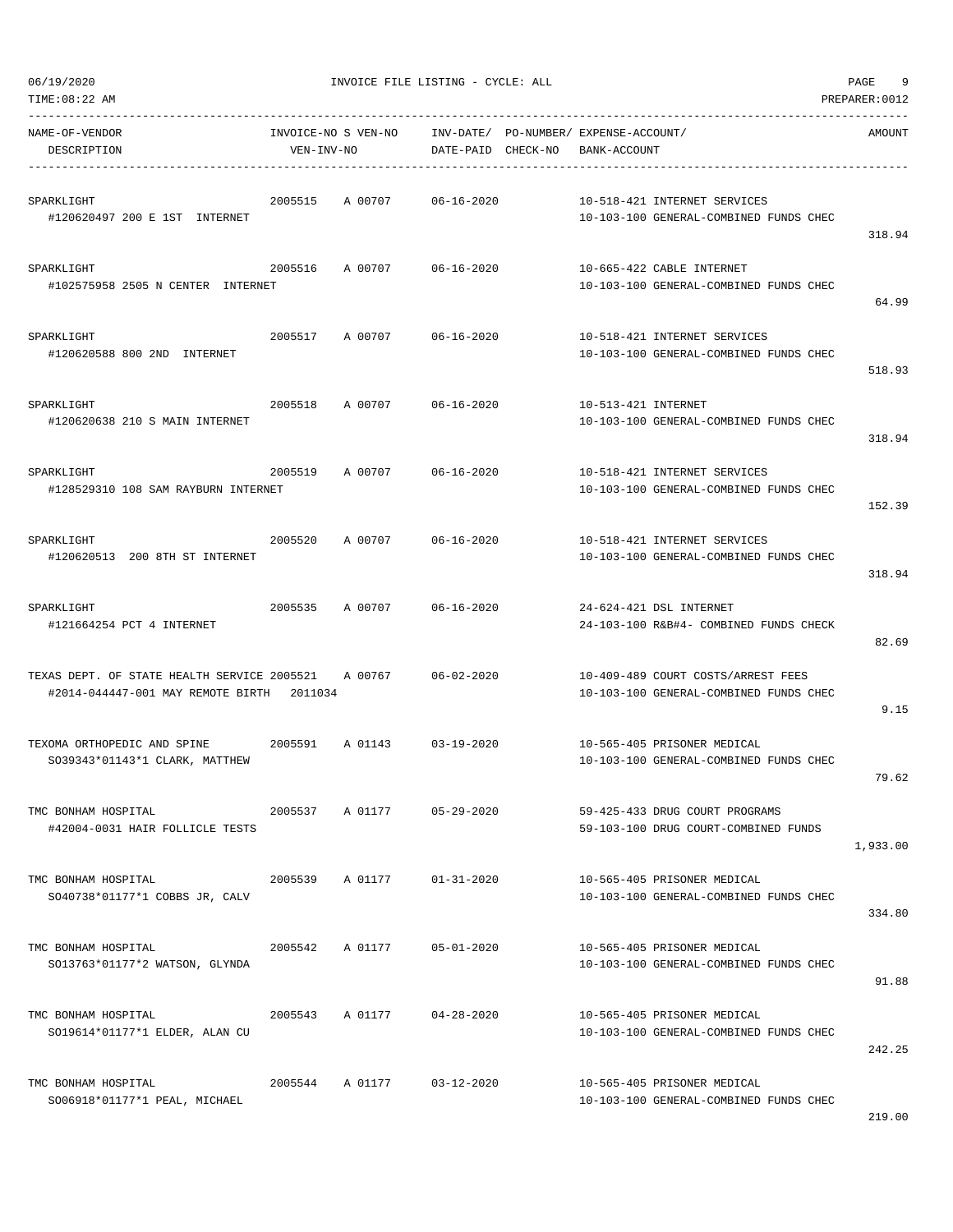|  | 16/19/2020 |  |
|--|------------|--|

| NAME-OF-VENDOR<br>DESCRIPTION                                                                    | INVOICE-NO S VEN-NO<br>VEN-INV-NO |                 | DATE-PAID CHECK-NO         | INV-DATE/ PO-NUMBER/EXPENSE-ACCOUNT/<br>BANK-ACCOUNT                         | AMOUNT   |
|--------------------------------------------------------------------------------------------------|-----------------------------------|-----------------|----------------------------|------------------------------------------------------------------------------|----------|
| SPARKLIGHT<br>#120620497 200 E 1ST INTERNET                                                      | 2005515                           | A 00707         | 06-16-2020                 | 10-518-421 INTERNET SERVICES<br>10-103-100 GENERAL-COMBINED FUNDS CHEC       | 318.94   |
| SPARKLIGHT<br>#102575958 2505 N CENTER INTERNET                                                  |                                   |                 | 2005516 A 00707 06-16-2020 | 10-665-422 CABLE INTERNET<br>10-103-100 GENERAL-COMBINED FUNDS CHEC          | 64.99    |
| SPARKLIGHT<br>#120620588 800 2ND INTERNET                                                        | 2005517                           |                 | A 00707 06-16-2020         | 10-518-421 INTERNET SERVICES<br>10-103-100 GENERAL-COMBINED FUNDS CHEC       | 518.93   |
| SPARKLIGHT<br>#120620638 210 S MAIN INTERNET                                                     |                                   | 2005518 A 00707 | 06-16-2020                 | 10-513-421 INTERNET<br>10-103-100 GENERAL-COMBINED FUNDS CHEC                | 318.94   |
| SPARKLIGHT<br>#128529310 108 SAM RAYBURN INTERNET                                                |                                   | 2005519 A 00707 | $06 - 16 - 2020$           | 10-518-421 INTERNET SERVICES<br>10-103-100 GENERAL-COMBINED FUNDS CHEC       | 152.39   |
| SPARKLIGHT<br>#120620513 200 8TH ST INTERNET                                                     | 2005520                           |                 | A 00707 06-16-2020         | 10-518-421 INTERNET SERVICES<br>10-103-100 GENERAL-COMBINED FUNDS CHEC       | 318.94   |
| SPARKLIGHT<br>#121664254 PCT 4 INTERNET                                                          |                                   |                 | 2005535 A 00707 06-16-2020 | 24-624-421 DSL INTERNET<br>24-103-100 R&B#4- COMBINED FUNDS CHECK            | 82.69    |
| TEXAS DEPT. OF STATE HEALTH SERVICE 2005521 A 00767<br>#2014-044447-001 MAY REMOTE BIRTH 2011034 |                                   |                 | 06-02-2020                 | 10-409-489 COURT COSTS/ARREST FEES<br>10-103-100 GENERAL-COMBINED FUNDS CHEC | 9.15     |
| TEXOMA ORTHOPEDIC AND SPINE<br>SO39343*01143*1 CLARK, MATTHEW                                    |                                   |                 | 2005591 A 01143 03-19-2020 | 10-565-405 PRISONER MEDICAL<br>10-103-100 GENERAL-COMBINED FUNDS CHEC        | 79.62    |
| TMC BONHAM HOSPITAL<br>#42004-0031 HAIR FOLLICLE TESTS                                           | 2005537                           | A 01177         | $05 - 29 - 2020$           | 59-425-433 DRUG COURT PROGRAMS<br>59-103-100 DRUG COURT-COMBINED FUNDS       | 1,933.00 |
| TMC BONHAM HOSPITAL<br>SO40738*01177*1 COBBS JR, CALV                                            | 2005539                           | A 01177         | $01 - 31 - 2020$           | 10-565-405 PRISONER MEDICAL<br>10-103-100 GENERAL-COMBINED FUNDS CHEC        | 334.80   |
| TMC BONHAM HOSPITAL<br>SO13763*01177*2 WATSON, GLYNDA                                            | 2005542                           | A 01177         | $05 - 01 - 2020$           | 10-565-405 PRISONER MEDICAL<br>10-103-100 GENERAL-COMBINED FUNDS CHEC        | 91.88    |
| TMC BONHAM HOSPITAL<br>SO19614*01177*1 ELDER, ALAN CU                                            | 2005543                           | A 01177         | $04 - 28 - 2020$           | 10-565-405 PRISONER MEDICAL<br>10-103-100 GENERAL-COMBINED FUNDS CHEC        | 242.25   |
| TMC BONHAM HOSPITAL<br>SO06918*01177*1 PEAL, MICHAEL                                             |                                   | 2005544 A 01177 | $03 - 12 - 2020$           | 10-565-405 PRISONER MEDICAL<br>10-103-100 GENERAL-COMBINED FUNDS CHEC        |          |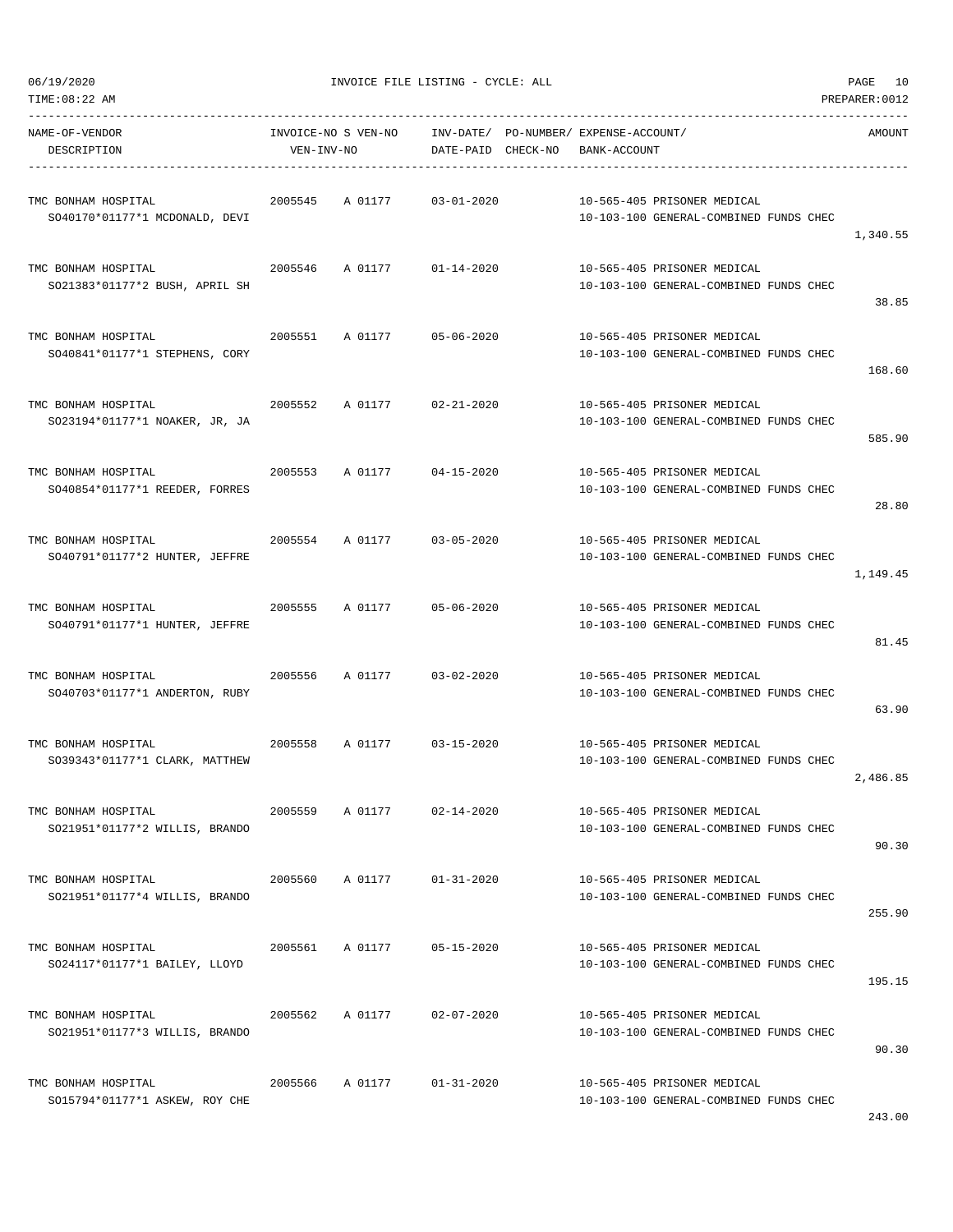| TIME:08:22 AM                                         |                     |         |                                       |  |              |                                                                       | PREPARER: 0012 |
|-------------------------------------------------------|---------------------|---------|---------------------------------------|--|--------------|-----------------------------------------------------------------------|----------------|
| NAME-OF-VENDOR                                        | INVOICE-NO S VEN-NO |         | INV-DATE/ PO-NUMBER/ EXPENSE-ACCOUNT/ |  |              | AMOUNT                                                                |                |
| DESCRIPTION                                           | VEN-INV-NO          |         | DATE-PAID CHECK-NO                    |  | BANK-ACCOUNT |                                                                       |                |
| TMC BONHAM HOSPITAL<br>SO40170*01177*1 MCDONALD, DEVI | 2005545             | A 01177 | $03 - 01 - 2020$                      |  |              | 10-565-405 PRISONER MEDICAL<br>10-103-100 GENERAL-COMBINED FUNDS CHEC | 1,340.55       |
| TMC BONHAM HOSPITAL<br>SO21383*01177*2 BUSH, APRIL SH | 2005546             | A 01177 | $01 - 14 - 2020$                      |  |              | 10-565-405 PRISONER MEDICAL<br>10-103-100 GENERAL-COMBINED FUNDS CHEC | 38.85          |
| TMC BONHAM HOSPITAL<br>SO40841*01177*1 STEPHENS, CORY | 2005551             | A 01177 | 05-06-2020                            |  |              | 10-565-405 PRISONER MEDICAL<br>10-103-100 GENERAL-COMBINED FUNDS CHEC | 168.60         |
| TMC BONHAM HOSPITAL<br>SO23194*01177*1 NOAKER, JR, JA | 2005552             | A 01177 | $02 - 21 - 2020$                      |  |              | 10-565-405 PRISONER MEDICAL<br>10-103-100 GENERAL-COMBINED FUNDS CHEC | 585.90         |
| TMC BONHAM HOSPITAL<br>SO40854*01177*1 REEDER, FORRES | 2005553             | A 01177 | $04 - 15 - 2020$                      |  |              | 10-565-405 PRISONER MEDICAL<br>10-103-100 GENERAL-COMBINED FUNDS CHEC | 28.80          |
| TMC BONHAM HOSPITAL<br>SO40791*01177*2 HUNTER, JEFFRE | 2005554             | A 01177 | $03 - 05 - 2020$                      |  |              | 10-565-405 PRISONER MEDICAL<br>10-103-100 GENERAL-COMBINED FUNDS CHEC | 1,149.45       |
| TMC BONHAM HOSPITAL<br>SO40791*01177*1 HUNTER, JEFFRE | 2005555             | A 01177 | $05 - 06 - 2020$                      |  |              | 10-565-405 PRISONER MEDICAL<br>10-103-100 GENERAL-COMBINED FUNDS CHEC | 81.45          |
| TMC BONHAM HOSPITAL<br>SO40703*01177*1 ANDERTON, RUBY | 2005556             | A 01177 | $03 - 02 - 2020$                      |  |              | 10-565-405 PRISONER MEDICAL<br>10-103-100 GENERAL-COMBINED FUNDS CHEC | 63.90          |
| TMC BONHAM HOSPITAL<br>SO39343*01177*1 CLARK, MATTHEW | 2005558             | A 01177 | $03 - 15 - 2020$                      |  |              | 10-565-405 PRISONER MEDICAL<br>10-103-100 GENERAL-COMBINED FUNDS CHEC | 2,486.85       |
| TMC BONHAM HOSPITAL<br>SO21951*01177*2 WILLIS, BRANDO | 2005559             | A 01177 | $02 - 14 - 2020$                      |  |              | 10-565-405 PRISONER MEDICAL<br>10-103-100 GENERAL-COMBINED FUNDS CHEC | 90.30          |
| TMC BONHAM HOSPITAL<br>SO21951*01177*4 WILLIS, BRANDO | 2005560             | A 01177 | $01 - 31 - 2020$                      |  |              | 10-565-405 PRISONER MEDICAL<br>10-103-100 GENERAL-COMBINED FUNDS CHEC | 255.90         |
| TMC BONHAM HOSPITAL<br>SO24117*01177*1 BAILEY, LLOYD  | 2005561             | A 01177 | $05 - 15 - 2020$                      |  |              | 10-565-405 PRISONER MEDICAL<br>10-103-100 GENERAL-COMBINED FUNDS CHEC | 195.15         |
| TMC BONHAM HOSPITAL<br>SO21951*01177*3 WILLIS, BRANDO | 2005562             | A 01177 | $02 - 07 - 2020$                      |  |              | 10-565-405 PRISONER MEDICAL<br>10-103-100 GENERAL-COMBINED FUNDS CHEC | 90.30          |
| TMC BONHAM HOSPITAL<br>SO15794*01177*1 ASKEW, ROY CHE | 2005566             | A 01177 | $01 - 31 - 2020$                      |  |              | 10-565-405 PRISONER MEDICAL<br>10-103-100 GENERAL-COMBINED FUNDS CHEC |                |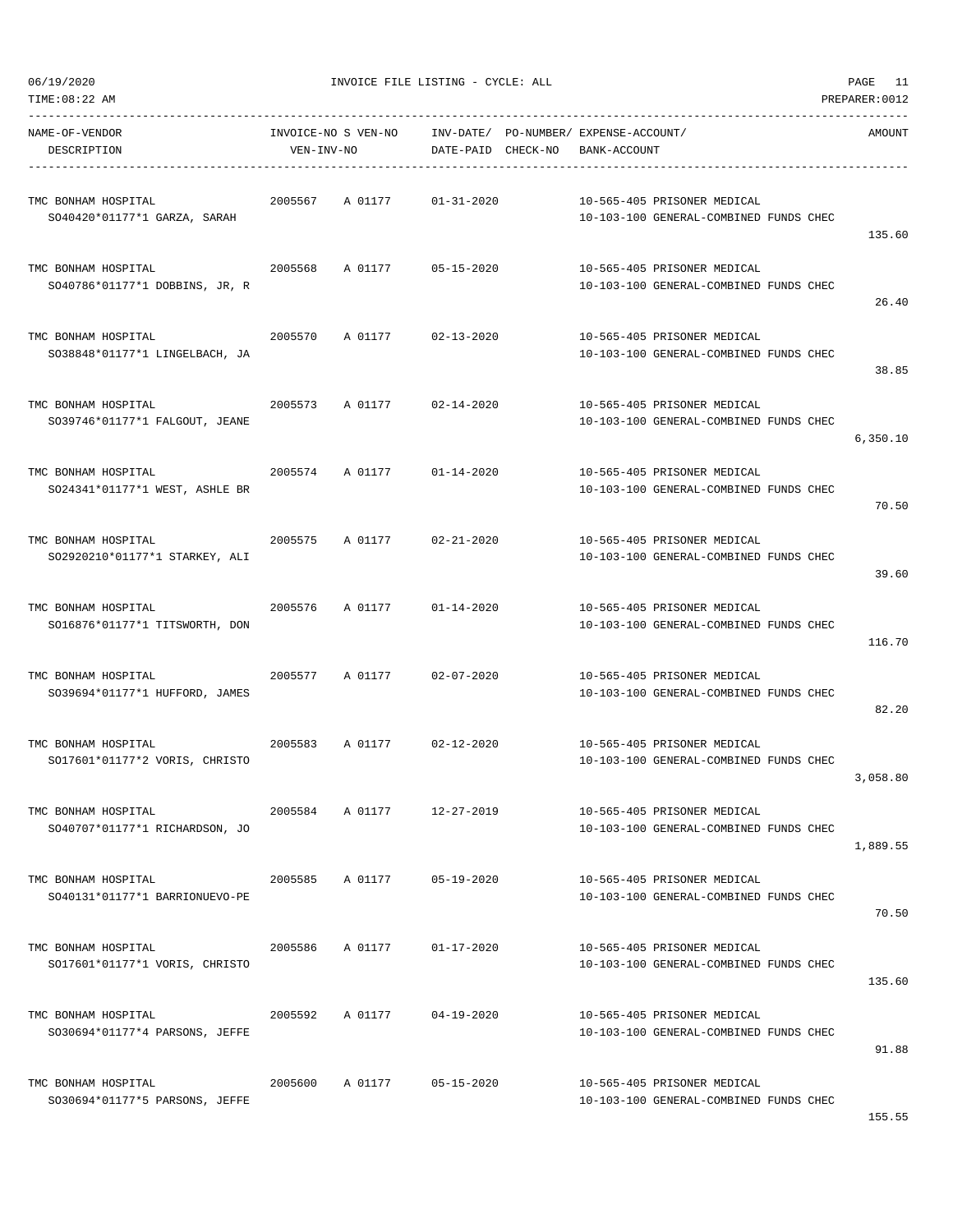| TIME:08:22 AM                                         |            |                     |                    |                                                       |                                                                       | PREPARER: 0012 |
|-------------------------------------------------------|------------|---------------------|--------------------|-------------------------------------------------------|-----------------------------------------------------------------------|----------------|
| NAME-OF-VENDOR                                        |            | INVOICE-NO S VEN-NO |                    | INV-DATE/ PO-NUMBER/ EXPENSE-ACCOUNT/<br>BANK-ACCOUNT |                                                                       | AMOUNT         |
| DESCRIPTION                                           | VEN-INV-NO |                     | DATE-PAID CHECK-NO |                                                       |                                                                       |                |
| TMC BONHAM HOSPITAL<br>SO40420*01177*1 GARZA, SARAH   | 2005567    | A 01177             | $01 - 31 - 2020$   |                                                       | 10-565-405 PRISONER MEDICAL<br>10-103-100 GENERAL-COMBINED FUNDS CHEC | 135.60         |
| TMC BONHAM HOSPITAL<br>SO40786*01177*1 DOBBINS, JR, R | 2005568    | A 01177             | 05-15-2020         |                                                       | 10-565-405 PRISONER MEDICAL<br>10-103-100 GENERAL-COMBINED FUNDS CHEC | 26.40          |
| TMC BONHAM HOSPITAL<br>SO38848*01177*1 LINGELBACH, JA | 2005570    | A 01177             | $02 - 13 - 2020$   |                                                       | 10-565-405 PRISONER MEDICAL<br>10-103-100 GENERAL-COMBINED FUNDS CHEC | 38.85          |
| TMC BONHAM HOSPITAL<br>SO39746*01177*1 FALGOUT, JEANE | 2005573    | A 01177             | 02-14-2020         |                                                       | 10-565-405 PRISONER MEDICAL<br>10-103-100 GENERAL-COMBINED FUNDS CHEC | 6,350.10       |
| TMC BONHAM HOSPITAL<br>SO24341*01177*1 WEST, ASHLE BR | 2005574    | A 01177             | $01 - 14 - 2020$   |                                                       | 10-565-405 PRISONER MEDICAL<br>10-103-100 GENERAL-COMBINED FUNDS CHEC | 70.50          |
| TMC BONHAM HOSPITAL<br>SO2920210*01177*1 STARKEY, ALI | 2005575    | A 01177             | $02 - 21 - 2020$   |                                                       | 10-565-405 PRISONER MEDICAL<br>10-103-100 GENERAL-COMBINED FUNDS CHEC | 39.60          |
| TMC BONHAM HOSPITAL<br>SO16876*01177*1 TITSWORTH, DON | 2005576    | A 01177             | $01 - 14 - 2020$   |                                                       | 10-565-405 PRISONER MEDICAL<br>10-103-100 GENERAL-COMBINED FUNDS CHEC | 116.70         |
| TMC BONHAM HOSPITAL<br>SO39694*01177*1 HUFFORD, JAMES | 2005577    | A 01177             | $02 - 07 - 2020$   |                                                       | 10-565-405 PRISONER MEDICAL<br>10-103-100 GENERAL-COMBINED FUNDS CHEC | 82.20          |
| TMC BONHAM HOSPITAL<br>SO17601*01177*2 VORIS, CHRISTO | 2005583    | A 01177             | $02 - 12 - 2020$   |                                                       | 10-565-405 PRISONER MEDICAL<br>10-103-100 GENERAL-COMBINED FUNDS CHEC | 3,058.80       |
| TMC BONHAM HOSPITAL<br>SO40707*01177*1 RICHARDSON, JO | 2005584    | A 01177             | 12-27-2019         |                                                       | 10-565-405 PRISONER MEDICAL<br>10-103-100 GENERAL-COMBINED FUNDS CHEC | 1,889.55       |
| TMC BONHAM HOSPITAL<br>SO40131*01177*1 BARRIONUEVO-PE | 2005585    | A 01177             | $05 - 19 - 2020$   |                                                       | 10-565-405 PRISONER MEDICAL<br>10-103-100 GENERAL-COMBINED FUNDS CHEC | 70.50          |
| TMC BONHAM HOSPITAL<br>SO17601*01177*1 VORIS, CHRISTO | 2005586    | A 01177             | $01 - 17 - 2020$   |                                                       | 10-565-405 PRISONER MEDICAL<br>10-103-100 GENERAL-COMBINED FUNDS CHEC | 135.60         |
| TMC BONHAM HOSPITAL<br>SO30694*01177*4 PARSONS, JEFFE | 2005592    | A 01177             | $04 - 19 - 2020$   |                                                       | 10-565-405 PRISONER MEDICAL<br>10-103-100 GENERAL-COMBINED FUNDS CHEC | 91.88          |
| TMC BONHAM HOSPITAL<br>SO30694*01177*5 PARSONS, JEFFE | 2005600    | A 01177             | $05 - 15 - 2020$   |                                                       | 10-565-405 PRISONER MEDICAL<br>10-103-100 GENERAL-COMBINED FUNDS CHEC |                |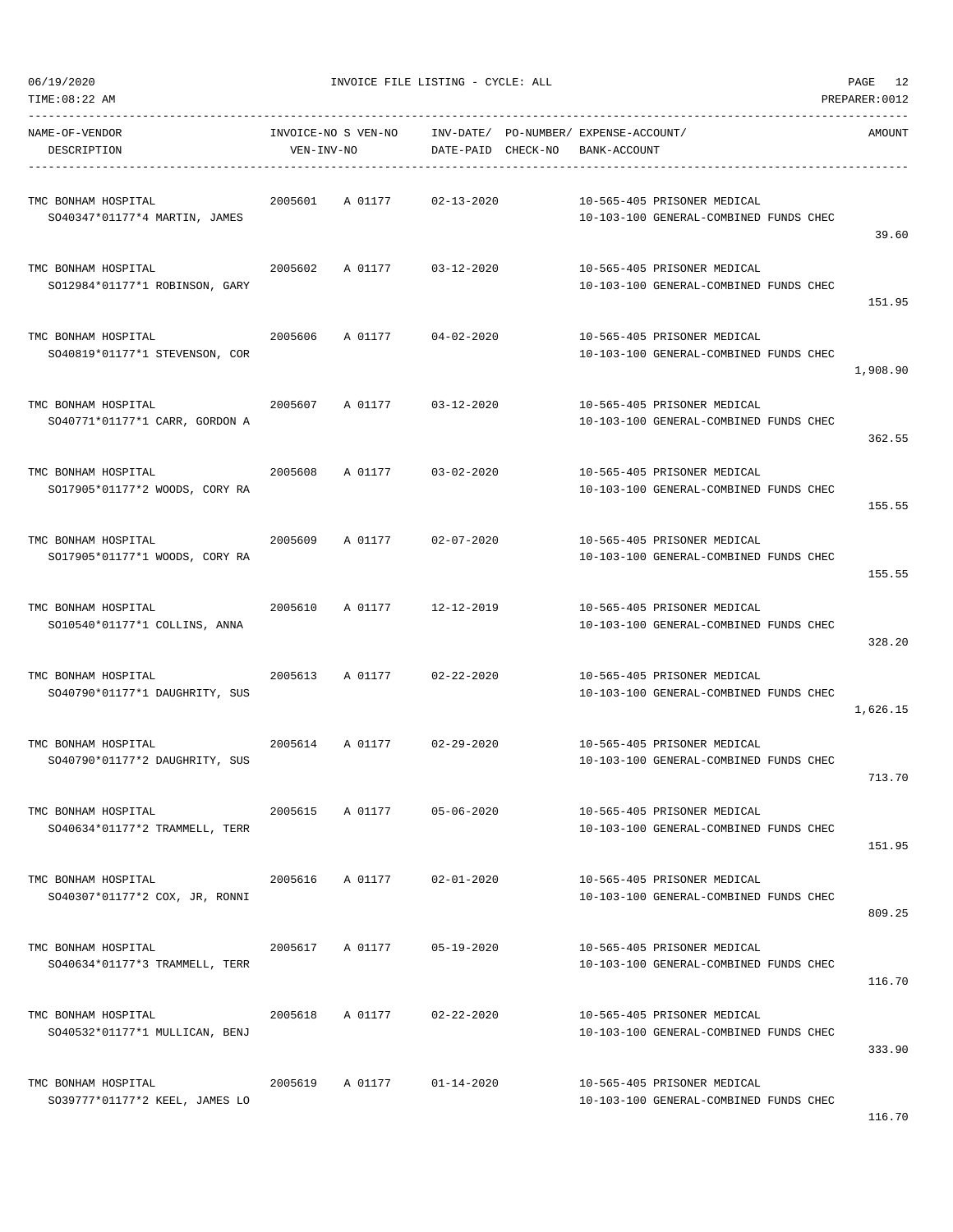| TIME:08:22 AM                                         |                                   |         |                    |                                                                       | PREPARER: 0012 |
|-------------------------------------------------------|-----------------------------------|---------|--------------------|-----------------------------------------------------------------------|----------------|
| NAME-OF-VENDOR<br>DESCRIPTION                         | INVOICE-NO S VEN-NO<br>VEN-INV-NO |         | DATE-PAID CHECK-NO | INV-DATE/ PO-NUMBER/ EXPENSE-ACCOUNT/<br>BANK-ACCOUNT                 | AMOUNT         |
| TMC BONHAM HOSPITAL<br>SO40347*01177*4 MARTIN, JAMES  | 2005601                           | A 01177 | $02 - 13 - 2020$   | 10-565-405 PRISONER MEDICAL<br>10-103-100 GENERAL-COMBINED FUNDS CHEC | 39.60          |
| TMC BONHAM HOSPITAL<br>SO12984*01177*1 ROBINSON, GARY | 2005602                           | A 01177 | $03 - 12 - 2020$   | 10-565-405 PRISONER MEDICAL<br>10-103-100 GENERAL-COMBINED FUNDS CHEC | 151.95         |
| TMC BONHAM HOSPITAL<br>SO40819*01177*1 STEVENSON, COR | 2005606                           | A 01177 | $04 - 02 - 2020$   | 10-565-405 PRISONER MEDICAL<br>10-103-100 GENERAL-COMBINED FUNDS CHEC | 1,908.90       |
| TMC BONHAM HOSPITAL<br>SO40771*01177*1 CARR, GORDON A | 2005607                           | A 01177 | $03 - 12 - 2020$   | 10-565-405 PRISONER MEDICAL<br>10-103-100 GENERAL-COMBINED FUNDS CHEC | 362.55         |
| TMC BONHAM HOSPITAL<br>SO17905*01177*2 WOODS, CORY RA | 2005608                           | A 01177 | $03 - 02 - 2020$   | 10-565-405 PRISONER MEDICAL<br>10-103-100 GENERAL-COMBINED FUNDS CHEC | 155.55         |
| TMC BONHAM HOSPITAL<br>SO17905*01177*1 WOODS, CORY RA | 2005609                           | A 01177 | $02 - 07 - 2020$   | 10-565-405 PRISONER MEDICAL<br>10-103-100 GENERAL-COMBINED FUNDS CHEC | 155.55         |
| TMC BONHAM HOSPITAL<br>SO10540*01177*1 COLLINS, ANNA  | 2005610                           | A 01177 | 12-12-2019         | 10-565-405 PRISONER MEDICAL<br>10-103-100 GENERAL-COMBINED FUNDS CHEC | 328.20         |
| TMC BONHAM HOSPITAL<br>SO40790*01177*1 DAUGHRITY, SUS | 2005613                           | A 01177 | $02 - 22 - 2020$   | 10-565-405 PRISONER MEDICAL<br>10-103-100 GENERAL-COMBINED FUNDS CHEC | 1,626.15       |
| TMC BONHAM HOSPITAL<br>SO40790*01177*2 DAUGHRITY, SUS | 2005614                           | A 01177 | $02 - 29 - 2020$   | 10-565-405 PRISONER MEDICAL<br>10-103-100 GENERAL-COMBINED FUNDS CHEC | 713.70         |
| TMC BONHAM HOSPITAL<br>SO40634*01177*2 TRAMMELL, TERR | 2005615                           | A 01177 | $05 - 06 - 2020$   | 10-565-405 PRISONER MEDICAL<br>10-103-100 GENERAL-COMBINED FUNDS CHEC | 151.95         |
| TMC BONHAM HOSPITAL<br>SO40307*01177*2 COX, JR, RONNI | 2005616                           | A 01177 | $02 - 01 - 2020$   | 10-565-405 PRISONER MEDICAL<br>10-103-100 GENERAL-COMBINED FUNDS CHEC | 809.25         |
| TMC BONHAM HOSPITAL<br>SO40634*01177*3 TRAMMELL, TERR | 2005617                           | A 01177 | $05 - 19 - 2020$   | 10-565-405 PRISONER MEDICAL<br>10-103-100 GENERAL-COMBINED FUNDS CHEC | 116.70         |
| TMC BONHAM HOSPITAL<br>SO40532*01177*1 MULLICAN, BENJ | 2005618                           | A 01177 | $02 - 22 - 2020$   | 10-565-405 PRISONER MEDICAL<br>10-103-100 GENERAL-COMBINED FUNDS CHEC | 333.90         |
| TMC BONHAM HOSPITAL<br>SO39777*01177*2 KEEL, JAMES LO | 2005619                           | A 01177 | $01 - 14 - 2020$   | 10-565-405 PRISONER MEDICAL<br>10-103-100 GENERAL-COMBINED FUNDS CHEC |                |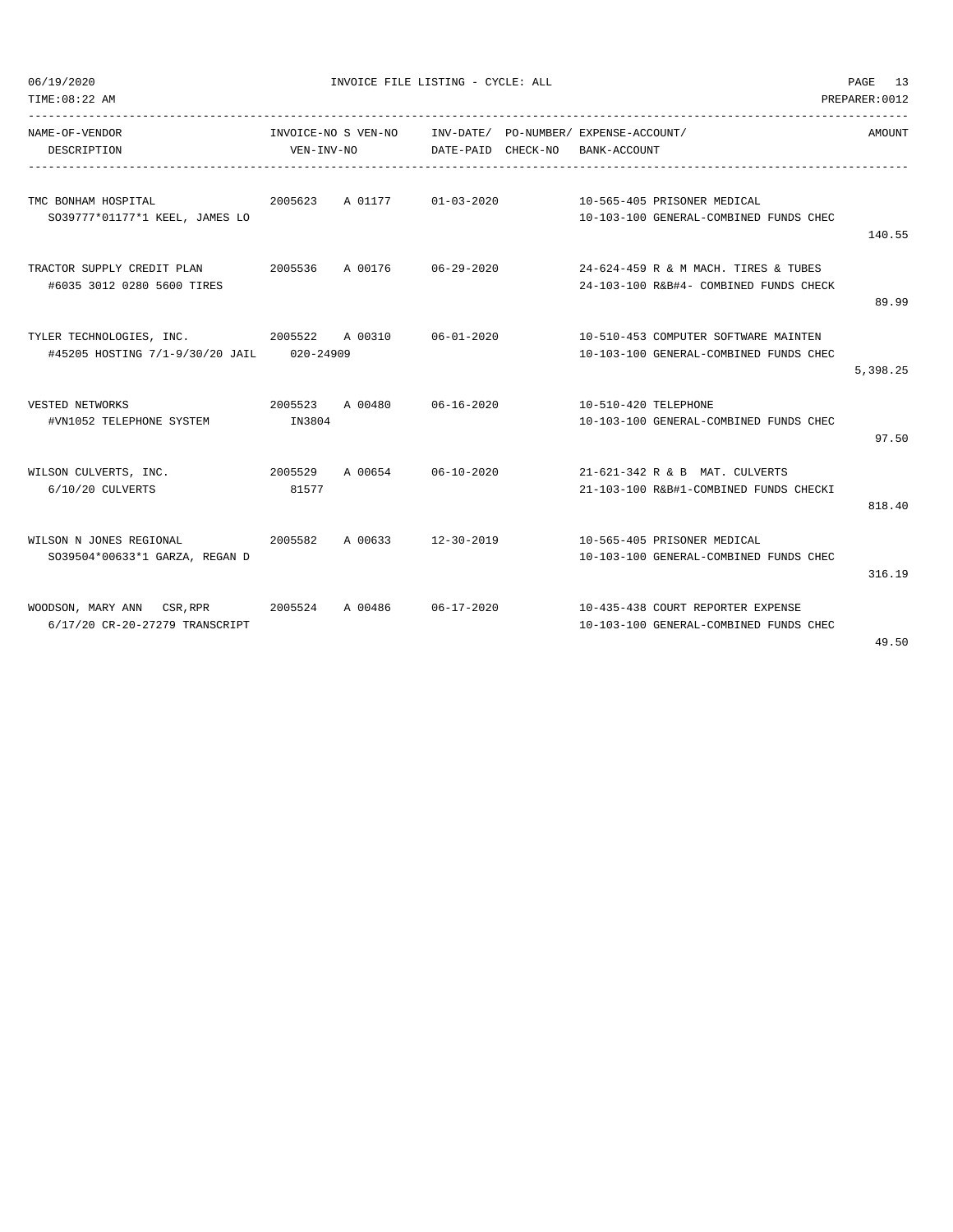| TIME: 08:22 AM<br>PREPARER: 0012                      |            |  |                            |  |                                                           |          |  |  |
|-------------------------------------------------------|------------|--|----------------------------|--|-----------------------------------------------------------|----------|--|--|
| NAME-OF-VENDOR                                        |            |  |                            |  | INVOICE-NO S VEN-NO INV-DATE/ PO-NUMBER/ EXPENSE-ACCOUNT/ | AMOUNT   |  |  |
| DESCRIPTION                                           | VEN-INV-NO |  | DATE-PAID CHECK-NO         |  | BANK-ACCOUNT                                              |          |  |  |
| TMC BONHAM HOSPITAL                                   |            |  | 2005623 A 01177 01-03-2020 |  | 10-565-405 PRISONER MEDICAL                               |          |  |  |
| SO39777*01177*1 KEEL, JAMES LO                        |            |  |                            |  | 10-103-100 GENERAL-COMBINED FUNDS CHEC                    | 140.55   |  |  |
|                                                       |            |  |                            |  | 24-624-459 R & M MACH. TIRES & TUBES                      |          |  |  |
| #6035 3012 0280 5600 TIRES                            |            |  |                            |  | 24-103-100 R&B#4- COMBINED FUNDS CHECK                    | 89.99    |  |  |
| TYLER TECHNOLOGIES, INC. 2005522 A 00310 06-01-2020   |            |  |                            |  | 10-510-453 COMPUTER SOFTWARE MAINTEN                      |          |  |  |
| #45205 HOSTING 7/1-9/30/20 JAIL 020-24909             |            |  |                            |  | 10-103-100 GENERAL-COMBINED FUNDS CHEC                    | 5,398.25 |  |  |
| VESTED NETWORKS                                       |            |  | 2005523 A 00480 06-16-2020 |  | 10-510-420 TELEPHONE                                      |          |  |  |
| #VN1052 TELEPHONE SYSTEM                              | IN3804     |  |                            |  | 10-103-100 GENERAL-COMBINED FUNDS CHEC                    | 97.50    |  |  |
| WILSON CULVERTS, INC.                                 |            |  | 2005529 A 00654 06-10-2020 |  | 21-621-342 R & B MAT. CULVERTS                            |          |  |  |
| 6/10/20 CULVERTS                                      | 81577      |  |                            |  | 21-103-100 R&B#1-COMBINED FUNDS CHECKI                    | 818.40   |  |  |
| WILSON N JONES REGIONAL<br>2005582                    |            |  | A 00633 12-30-2019         |  | 10-565-405 PRISONER MEDICAL                               |          |  |  |
| S039504*00633*1 GARZA, REGAN D                        |            |  |                            |  | 10-103-100 GENERAL-COMBINED FUNDS CHEC                    | 316.19   |  |  |
| WOODSON, MARY ANN CSR, RPR 2005524 A 00486 06-17-2020 |            |  |                            |  | 10-435-438 COURT REPORTER EXPENSE                         |          |  |  |
| 6/17/20 CR-20-27279 TRANSCRIPT                        |            |  |                            |  | 10-103-100 GENERAL-COMBINED FUNDS CHEC                    |          |  |  |